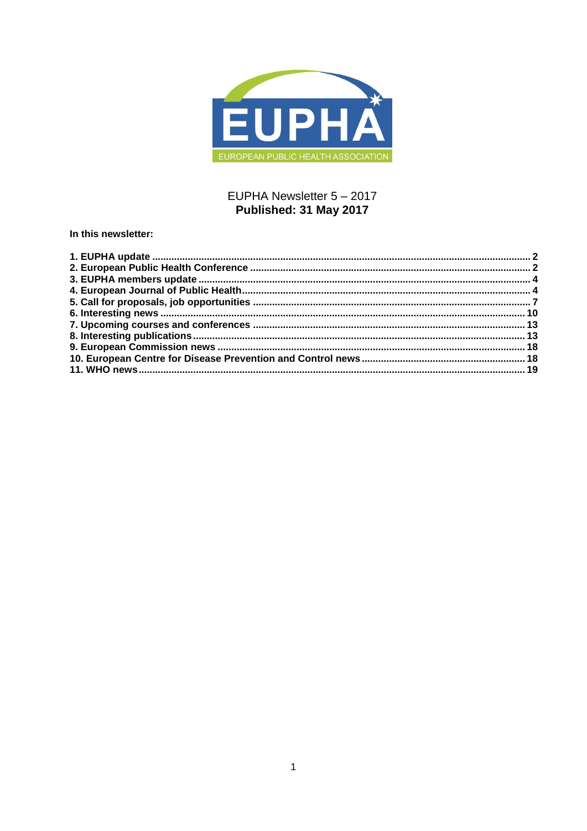

## EUPHA Newsletter 5 - 2017 Published: 31 May 2017

In this newsletter:

<span id="page-0-0"></span>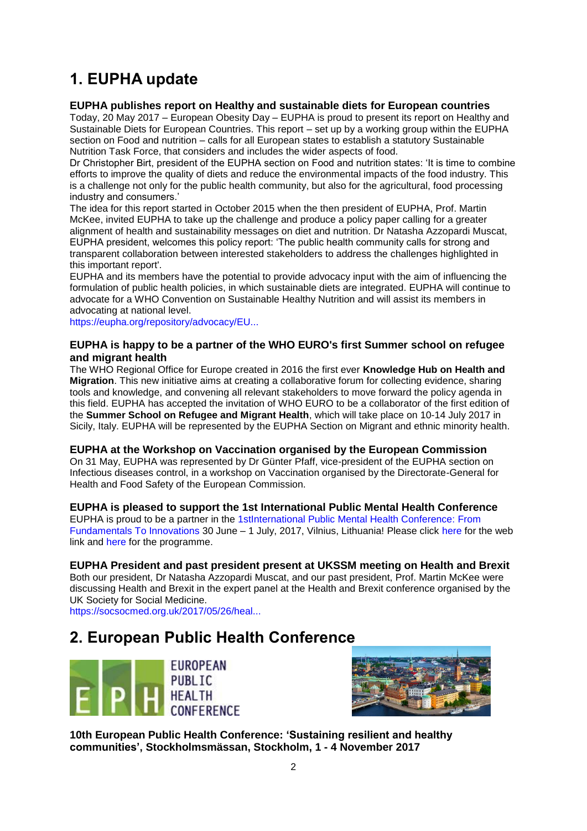# **1. EUPHA update**

## **EUPHA publishes report on Healthy and sustainable diets for European countries**

Today, 20 May 2017 – European Obesity Day – EUPHA is proud to present its report on Healthy and Sustainable Diets for European Countries. This report – set up by a working group within the EUPHA section on Food and nutrition – calls for all European states to establish a statutory Sustainable Nutrition Task Force, that considers and includes the wider aspects of food.

Dr Christopher Birt, president of the EUPHA section on Food and nutrition states: 'It is time to combine efforts to improve the quality of diets and reduce the environmental impacts of the food industry. This is a challenge not only for the public health community, but also for the agricultural, food processing industry and consumers.'

The idea for this report started in October 2015 when the then president of EUPHA, Prof. Martin McKee, invited EUPHA to take up the challenge and produce a policy paper calling for a greater alignment of health and sustainability messages on diet and nutrition. Dr Natasha Azzopardi Muscat, EUPHA president, welcomes this policy report: 'The public health community calls for strong and transparent collaboration between interested stakeholders to address the challenges highlighted in this important report'.

EUPHA and its members have the potential to provide advocacy input with the aim of influencing the formulation of public health policies, in which sustainable diets are integrated. EUPHA will continue to advocate for a WHO Convention on Sustainable Healthy Nutrition and will assist its members in advocating at national level.

[https://eupha.org/repository/advocacy/EU...](https://eupha.org/repository/advocacy/EUPHA_report_on_healthy_and_sustainable_diets_20-05-2017.pdf)

## **EUPHA is happy to be a partner of the WHO EURO's first Summer school on refugee and migrant health**

The WHO Regional Office for Europe created in 2016 the first ever **Knowledge Hub on Health and Migration**. This new initiative aims at creating a collaborative forum for collecting evidence, sharing tools and knowledge, and convening all relevant stakeholders to move forward the policy agenda in this field. EUPHA has accepted the invitation of WHO EURO to be a collaborator of the first edition of the **Summer School on Refugee and Migrant Health**, which will take place on 10-14 July 2017 in Sicily, Italy. EUPHA will be represented by the EUPHA Section on Migrant and ethnic minority health.

#### **EUPHA at the Workshop on Vaccination organised by the European Commission**

On 31 May, EUPHA was represented by Dr Günter Pfaff, vice-president of the EUPHA section on Infectious diseases control, in a workshop on Vaccination organised by the Directorate-General for Health and Food Safety of the European Commission.

## **EUPHA is pleased to support the 1st International Public Mental Health Conference**

EUPHA is proud to be a partner in the [1stInternational Public Mental Health Conference: From](http://pmhconference.eu/)  [Fundamentals To Innovations](http://euphapedia.eupha.org/newsletter/https:/ephconference.eu/repository/sections/pmh/1st_International_Public_Mental_Health_Conference.pdf) 30 June – 1 July, 2017, Vilnius, Lithuania! Please click [here f](http://pmhconference.eu/registration)or the web link and [here](http://pmhconference.eu/programme) for the programme.

## **EUPHA President and past president present at UKSSM meeting on Health and Brexit**

Both our president, Dr Natasha Azzopardi Muscat, and our past president, Prof. Martin McKee were discussing Health and Brexit in the expert panel at the Health and Brexit conference organised by the UK Society for Social Medicine.

[https://socsocmed.org.uk/2017/05/26/heal...](https://socsocmed.org.uk/2017/05/26/health-brexit-conference-lancet-write-up/)

## <span id="page-1-0"></span>**2. European Public Health Conference**





**10th European Public Health Conference: "Sustaining resilient and healthy communities", Stockholmsmässan, Stockholm, 1 - 4 November 2017**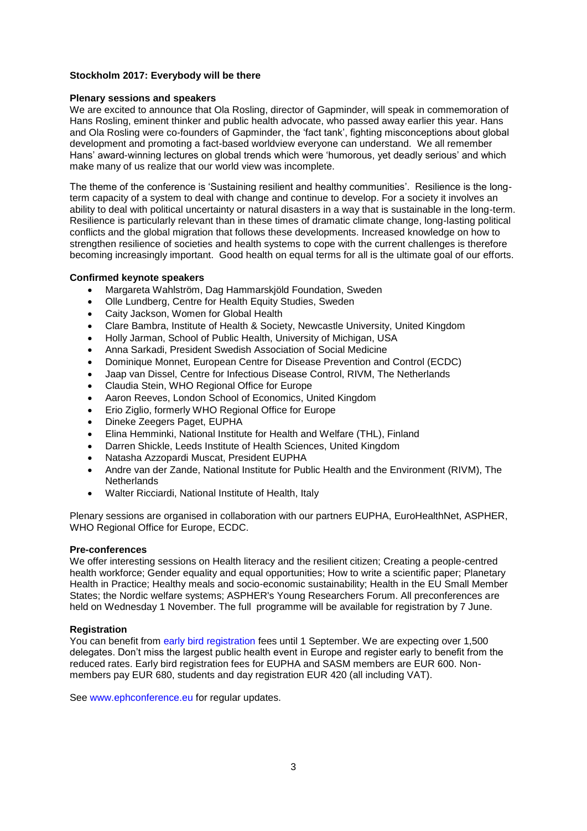#### **Stockholm 2017: Everybody will be there**

#### **Plenary sessions and speakers**

We are excited to announce that Ola Rosling, director of Gapminder, will speak in commemoration of Hans Rosling, eminent thinker and public health advocate, who passed away earlier this year. Hans and Ola Rosling were co-founders of Gapminder, the 'fact tank', fighting misconceptions about global development and promoting a fact-based worldview everyone can understand. We all remember Hans' award-winning lectures on global trends which were 'humorous, yet deadly serious' and which make many of us realize that our world view was incomplete.

The theme of the conference is 'Sustaining resilient and healthy communities'. Resilience is the longterm capacity of a system to deal with change and continue to develop. For a society it involves an ability to deal with political uncertainty or natural disasters in a way that is sustainable in the long-term. Resilience is particularly relevant than in these times of dramatic climate change, long-lasting political conflicts and the global migration that follows these developments. Increased knowledge on how to strengthen resilience of societies and health systems to cope with the current challenges is therefore becoming increasingly important. Good health on equal terms for all is the ultimate goal of our efforts.

#### **Confirmed keynote speakers**

- Margareta Wahlström, Dag Hammarskjöld Foundation, Sweden
- Olle Lundberg, Centre for Health Equity Studies, Sweden
- Caity Jackson, Women for Global Health
- Clare Bambra, Institute of Health & Society, Newcastle University, United Kingdom
- Holly Jarman, School of Public Health, University of Michigan, USA
- Anna Sarkadi, President Swedish Association of Social Medicine
- Dominique Monnet, European Centre for Disease Prevention and Control (ECDC)
- Jaap van Dissel, Centre for Infectious Disease Control, RIVM, The Netherlands
- Claudia Stein, WHO Regional Office for Europe
- Aaron Reeves, London School of Economics, United Kingdom
- Erio Ziglio, formerly WHO Regional Office for Europe
- Dineke Zeegers Paget, EUPHA
- Elina Hemminki, National Institute for Health and Welfare (THL), Finland
- Darren Shickle, Leeds Institute of Health Sciences, United Kingdom
- Natasha Azzopardi Muscat, President EUPHA
- Andre van der Zande, National Institute for Public Health and the Environment (RIVM), The **Netherlands**
- Walter Ricciardi, National Institute of Health, Italy

Plenary sessions are organised in collaboration with our partners EUPHA, EuroHealthNet, ASPHER, WHO Regional Office for Europe, ECDC.

#### **Pre-conferences**

We offer interesting sessions on Health literacy and the resilient citizen; Creating a people-centred health workforce; Gender equality and equal opportunities; How to write a scientific paper; Planetary Health in Practice; Healthy meals and socio-economic sustainability; Health in the EU Small Member States; the Nordic welfare systems; ASPHER's Young Researchers Forum. All preconferences are held on Wednesday 1 November. The full programme will be available for registration by 7 June.

#### **Registration**

You can benefit from [early bird registration](https://ephconference.eu/registration-fees-and-information-20) fees until 1 September. We are expecting over 1,500 delegates. Don't miss the largest public health event in Europe and register early to benefit from the reduced rates. Early bird registration fees for EUPHA and SASM members are EUR 600. Nonmembers pay EUR 680, students and day registration EUR 420 (all including VAT).

See [www.ephconference.eu](http://www.ephconference.eu/) for regular updates.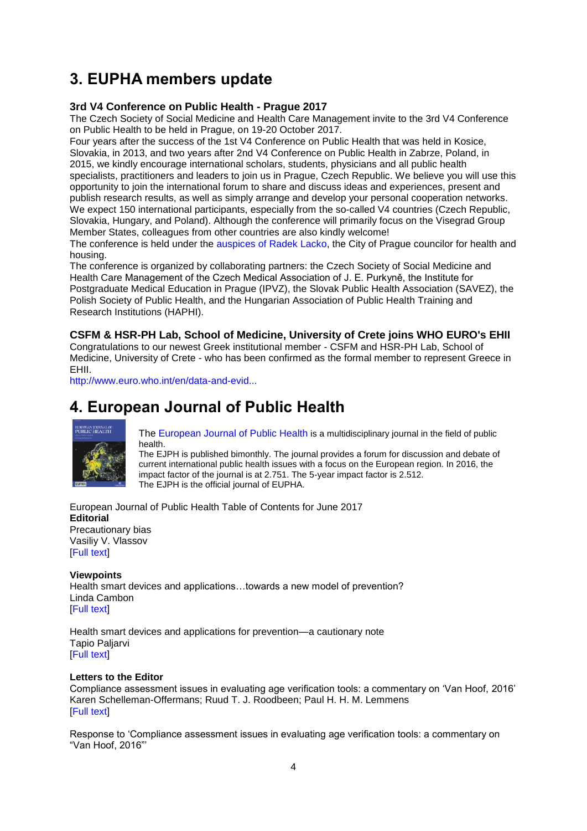# <span id="page-3-0"></span>**3. EUPHA members update**

## **3rd V4 Conference on Public Health - Prague 2017**

The Czech Society of Social Medicine and Health Care Management invite to the 3rd V4 Conference on Public Health to be held in Prague, on 19-20 October 2017.

Four years after the success of the 1st V4 Conference on Public Health that was held in Kosice, Slovakia, in 2013, and two years after 2nd V4 Conference on Public Health in Zabrze, Poland, in 2015, we kindly encourage international scholars, students, physicians and all public health specialists, practitioners and leaders to join us in Prague, Czech Republic. We believe you will use this opportunity to join the international forum to share and discuss ideas and experiences, present and publish research results, as well as simply arrange and develop your personal cooperation networks. We expect 150 international participants, especially from the so-called V4 countries (Czech Republic, Slovakia, Hungary, and Poland). Although the conference will primarily focus on the Visegrad Group Member States, colleagues from other countries are also kindly welcome!

The conference is held under the [auspices of Radek Lacko,](http://conference2017.ipvz.cz/sites/default/files/zastita.pdf) the City of Prague councilor for health and housing.

The conference is organized by collaborating partners: the Czech Society of Social Medicine and Health Care Management of the Czech Medical Association of J. E. Purkyně, the Institute for Postgraduate Medical Education in Prague (IPVZ), the Slovak Public Health Association (SAVEZ), the Polish Society of Public Health, and the Hungarian Association of Public Health Training and Research Institutions (HAPHI).

**CSFM & HSR-PH Lab, School of Medicine, University of Crete joins WHO EURO's EHII**

Congratulations to our newest Greek institutional member - CSFM and HSR-PH Lab, School of Medicine, University of Crete - who has been confirmed as the formal member to represent Greece in EHII.

[http://www.euro.who.int/en/data-and-evid...](http://www.euro.who.int/en/data-and-evidence/european-health-information-initiative-ehii)

# <span id="page-3-1"></span>**4. European Journal of Public Health**



[The European Journal of Public Health](http://eurpub.oxfordjournals.org/) is a multidisciplinary journal in the field of public health.

The EJPH is published bimonthly. The journal provides a forum for discussion and debate of current international public health issues with a focus on the European region. In 2016, the impact factor of the journal is at 2.751. The 5-year impact factor is 2.512. The EJPH is the official journal of EUPHA.

European Journal of Public Health Table of Contents for June 2017 **Editorial**  Precautionary bias [Vasiliy V. Vlassov](http://click.skem1.com/click/gm1a3-aww9eb-63tm46v5/) [\[Full text\]](https://academic.oup.com/eurpub/article/27/3/389/3855298/Precautionary-biashttp:/click.skem1.com/click/gm1a3-aww9ea-63tm46v4/)

## **Viewpoints**

Health smart devices and applications…towards a new model of prevention? [Linda Cambon](http://click.skem1.com/click/gm1a3-aww9ed-63tm46v7/) [\[Full text\]](https://academic.oup.com/eurpub/article/27/3/390/3855304/Health-smart-devices-and-applications-towards-a)

Health smart devices and applications for prevention—a cautionary note [Tapio Paljarvi](http://click.skem1.com/click/gm1a3-aww9ef-63tm46v9/) [\[Full text\]](https://academic.oup.com/eurpub/article/27/3/391/3855303/Health-smart-devices-and-applications-for)

#### **Letters to the Editor**

Compliance assessment issues in evaluating age verification tools: a commentary on 'Van Hoof, 2016' [Karen Schelleman-Offermans;](http://click.skem1.com/click/gm1a3-aww9eh-63tm46v1/) [Ruud T. J. Roodbeen;](http://click.skem1.com/click/gm1a3-aww9ei-63tm46v2/) [Paul H. H. M. Lemmens](http://click.skem1.com/click/gm1a3-aww9ej-63tm46v3/) [\[Full text\]](https://academic.oup.com/eurpub/article/27/3/393/3855278/Compliance-assessment-issues-in-evaluating-age)

Response to 'Compliance assessment issues in evaluating age verification tools: a commentary on "Van Hoof, 2016"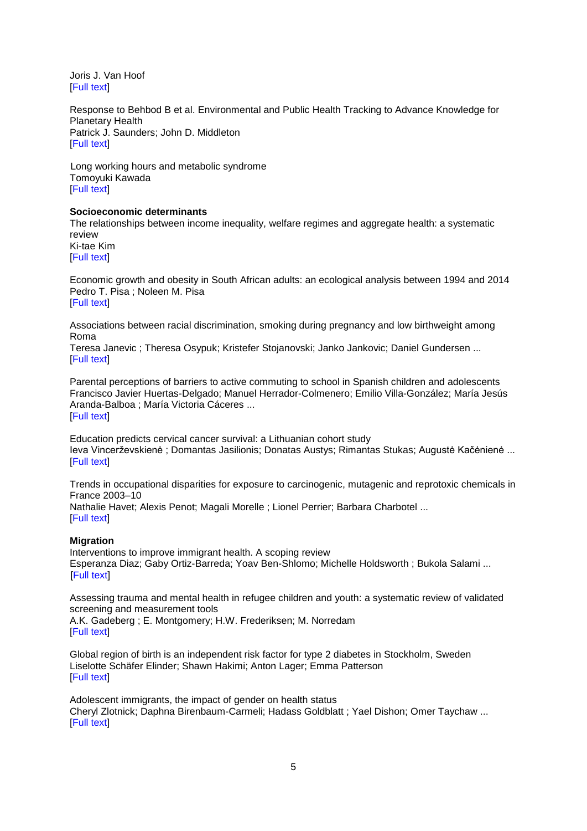[Joris J. Van Hoof](http://click.skem1.com/click/gm1a3-aww9el-63tm46v5/) [\[Full text\]](https://academic.oup.com/eurpub/article/27/3/394/3855290/Response-to-Compliance-assessment-issues-in)

Response to [Behbod B et al. Environmental and Public Health Tracking to Advance Knowledge for](http://click.skem1.com/click/gm1a3-aww9em-63tm46v6/)  [Planetary Health](http://click.skem1.com/click/gm1a3-aww9em-63tm46v6/) [Patrick J. Saunders;](http://click.skem1.com/click/gm1a3-aww9en-63tm46v7/) [John D. Middleton](http://click.skem1.com/click/gm1a3-aww9eo-63tm46v8/) [\[Full text\]](https://academic.oup.com/eurpub/article/27/3/395/3855306/Response-to-Behbod-B-et-al-Environmental-and)

[Long working hours and metabolic syndrome](http://click.skem1.com/click/gm1a3-aww9ep-63tm46v9/) [Tomoyuki Kawada](http://click.skem1.com/click/gm1a3-aww9eq-63tm46v0/) [\[Full text\]](https://academic.oup.com/eurpub/article/27/3/396/3074648/Long-working-hours-and-metabolic-syndrome)

#### **Socioeconomic determinants**

[The relationships between income inequality, welfare regimes and aggregate health: a systematic](http://click.skem1.com/click/gm1a3-aww9er-63tm46v1/)  [review](http://click.skem1.com/click/gm1a3-aww9er-63tm46v1/)

[Ki-tae Kim](http://click.skem1.com/click/gm1a3-aww9es-63tm46v2/) [\[Full text\]](https://academic.oup.com/eurpub/article/27/3/397/3855316/The-relationships-between-income-inequality)

[Economic growth and obesity in South African adults: an ecological analysis between 1994 and 2014](http://click.skem1.com/click/gm1a3-aww9et-63tm46v3/) [Pedro T. Pisa](http://click.skem1.com/click/gm1a3-aww9eu-63tm46v4/) ; [Noleen M. Pisa](http://click.skem1.com/click/gm1a3-aww9ev-63tm46v5/) [\[Full text\]](https://academic.oup.com/eurpub/article/27/3/404/2616452/Economic-growth-and-obesity-in-South-African)

[Associations between racial discrimination, smoking during pregnancy and low birthweight among](http://click.skem1.com/click/gm1a3-aww9ew-63tm46v6/)  [Roma](http://click.skem1.com/click/gm1a3-aww9ew-63tm46v6/)

[Teresa Janevic](http://click.skem1.com/click/gm1a3-aww9ex-63tm46v7/) ; [Theresa Osypuk;](http://click.skem1.com/click/gm1a3-aww9ey-63tm46v8/) [Kristefer Stojanovski;](http://click.skem1.com/click/gm1a3-aww9ez-63tm46v9/) [Janko Jankovic;](http://click.skem1.com/click/gm1a3-aww9f0-63tm46v6/) [Daniel Gundersen](http://click.skem1.com/click/gm1a3-aww9f1-63tm46v7/) ... [\[Full text\]](https://academic.oup.com/eurpub/article/27/3/410/2864999/Associations-between-racial-discrimination-smoking)

[Parental perceptions of barriers to active commuting to school in Spanish children and adolescents](http://click.skem1.com/click/gm1a3-aww9f2-63tm46v8/) [Francisco Javier Huertas-Delgado;](http://click.skem1.com/click/gm1a3-aww9f3-63tm46v9/) [Manuel Herrador-Colmenero;](http://click.skem1.com/click/gm1a3-aww9f4-63tm46v0/) [Emilio Villa-González;](http://click.skem1.com/click/gm1a3-aww9f5-63tm46v1/) [María Jesús](http://click.skem1.com/click/gm1a3-aww9f6-63tm46v2/)  [Aranda-Balboa](http://click.skem1.com/click/gm1a3-aww9f6-63tm46v2/) ; [María Victoria Cáceres](http://click.skem1.com/click/gm1a3-aww9f7-63tm46v3/) ... [\[Full text\]](https://academic.oup.com/eurpub/article/27/3/416/2929359/Parental-perceptions-of-barriers-to-active)

[Education predicts cervical cancer survival: a Lithuanian cohort study](http://click.skem1.com/click/gm1a3-aww9f8-63tm46v4/) [Ieva Vincerževskienė](http://click.skem1.com/click/gm1a3-aww9f9-63tm46v5/) ; [Domantas Jasilionis;](http://click.skem1.com/click/gm1a3-aww9fa-63tm46v5/) [Donatas Austys;](http://click.skem1.com/click/gm1a3-aww9fb-63tm46v6/) [Rimantas Stukas;](http://click.skem1.com/click/gm1a3-aww9fc-63tm46v7/) [Augustė Kačėnienė](http://click.skem1.com/click/gm1a3-aww9fd-63tm46v8/) ... **IFull textl** 

[Trends in occupational disparities for exposure to carcinogenic, mutagenic and reprotoxic chemicals in](http://click.skem1.com/click/gm1a3-aww9fe-63tm46v9/)  [France 2003–10](http://click.skem1.com/click/gm1a3-aww9fe-63tm46v9/)

[Nathalie Havet;](http://click.skem1.com/click/gm1a3-aww9ff-63tm46v0/) [Alexis Penot;](http://click.skem1.com/click/gm1a3-aww9fg-63tm46v1/) [Magali Morelle](http://click.skem1.com/click/gm1a3-aww9fh-63tm46v2/) ; [Lionel Perrier;](http://click.skem1.com/click/gm1a3-aww9fi-63tm46v3/) [Barbara Charbotel](http://click.skem1.com/click/gm1a3-aww9fj-63tm46v4/) ... [\[Full text\]](https://academic.oup.com/eurpub/article/27/3/425/3100256/Trends-in-occupational-disparities-for-exposure-to)

#### **Migration**

Interventions to improve immigrant health. A scoping review [Esperanza Diaz;](http://click.skem1.com/click/gm1a3-aww9fl-63tm46v6/) [Gaby Ortiz-Barreda;](http://click.skem1.com/click/gm1a3-aww9fm-63tm46v7/) [Yoav Ben-Shlomo;](http://click.skem1.com/click/gm1a3-aww9fn-63tm46v8/) [Michelle Holdsworth](http://click.skem1.com/click/gm1a3-aww9fo-63tm46v9/) ; [Bukola Salami](http://click.skem1.com/click/gm1a3-aww9fp-63tm46v0/) ... [\[Full text\]](https://academic.oup.com/eurpub/article/27/3/433/3056502/Interventions-to-improve-immigrant-health-A)

[Assessing trauma and mental health in refugee children and youth:](http://click.skem1.com/click/gm1a3-aww9fq-63tm46v1/) a systematic review of validated [screening and measurement tools](http://click.skem1.com/click/gm1a3-aww9fq-63tm46v1/)

[A.K. Gadeberg](http://click.skem1.com/click/gm1a3-aww9fr-63tm46v2/) ; [E. Montgomery;](http://click.skem1.com/click/gm1a3-aww9fs-63tm46v3/) [H.W. Frederiksen;](http://click.skem1.com/click/gm1a3-aww9ft-63tm46v4/) [M. Norredam](http://click.skem1.com/click/gm1a3-aww9fu-63tm46v5/) [\[Full text\]](https://academic.oup.com/eurpub/article/27/3/439/3787658/Assessing-trauma-and-mental-health-in-refugee)

[Global region of birth is an independent risk factor for type 2 diabetes in Stockholm, Sweden](http://click.skem1.com/click/gm1a3-aww9fv-63tm46v6/) [Liselotte Schäfer Elinder;](http://click.skem1.com/click/gm1a3-aww9fw-63tm46v7/) [Shawn Hakimi;](http://click.skem1.com/click/gm1a3-aww9fx-63tm46v8/) [Anton Lager;](http://click.skem1.com/click/gm1a3-aww9fy-63tm46v9/) [Emma Patterson](http://click.skem1.com/click/gm1a3-aww9fz-63tm46v0/) [\[Full text\]](https://academic.oup.com/eurpub/article/27/3/447/2670171/Global-region-of-birth-is-an-independent-risk)

[Adolescent immigrants, the impact of gender on health status](http://click.skem1.com/click/gm1a3-aww9g0-63tm46v7/) [Cheryl Zlotnick;](http://click.skem1.com/click/gm1a3-aww9g1-63tm46v8/) [Daphna Birenbaum-Carmeli;](http://click.skem1.com/click/gm1a3-aww9g2-63tm46v9/) [Hadass Goldblatt](http://click.skem1.com/click/gm1a3-aww9g3-63tm46v0/) ; [Yael Dishon;](http://click.skem1.com/click/gm1a3-aww9g4-63tm46v1/) [Omer Taychaw](http://click.skem1.com/click/gm1a3-aww9g5-63tm46v2/) ... [\[Full text\]](https://academic.oup.com/eurpub/article/27/3/453/2528270/Adolescent-immigrants-the-impact-of-gender-on)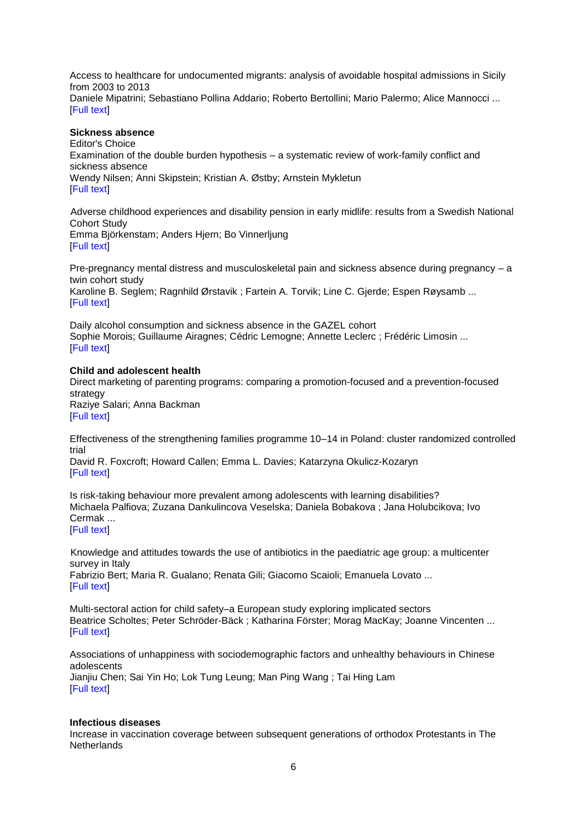[Access to healthcare for undocumented migrants: analysis of avoidable hospital admissions in Sicily](http://click.skem1.com/click/gm1a3-aww9g6-63tm46v3/)  [from 2003 to 2013](http://click.skem1.com/click/gm1a3-aww9g6-63tm46v3/) [Daniele Mipatrini;](http://click.skem1.com/click/gm1a3-aww9g7-63tm46v4/) [Sebastiano Pollina Addario;](http://click.skem1.com/click/gm1a3-aww9g8-63tm46v5/) [Roberto Bertollini;](http://click.skem1.com/click/gm1a3-aww9g9-63tm46v6/) [Mario Palermo;](http://click.skem1.com/click/gm1a3-aww9ga-63tm46v6/) [Alice Mannocci](http://click.skem1.com/click/gm1a3-aww9gb-63tm46v7/) ... [\[Full text\]](http://click.skem1.com/click/gm1a3-aww9g6-63tm46v3/)

#### **Sickness absence**

Editor's Choice Examination of the double burden hypothesis – a systematic review of work-family conflict and sickness absence [Wendy Nilsen;](http://click.skem1.com/click/gm1a3-aww9gd-63tm46v9/) [Anni Skipstein;](http://click.skem1.com/click/gm1a3-aww9ge-63tm46v0/) [Kristian A. Østby;](http://click.skem1.com/click/gm1a3-aww9gf-63tm46v1/) [Arnstein Mykletun](http://click.skem1.com/click/gm1a3-aww9gg-63tm46v2/) [\[Full text\]](https://academic.oup.com/eurpub/article/27/3/465/3806896/Examination-of-the-double-burden-hypothesis-a)

[Adverse childhood experiences and disability pension in early midlife: results from a Swedish National](http://click.skem1.com/click/gm1a3-aww9gh-63tm46v3/)  [Cohort Study](http://click.skem1.com/click/gm1a3-aww9gh-63tm46v3/) [Emma Björkenstam;](http://click.skem1.com/click/gm1a3-aww9gi-63tm46v4/) [Anders Hjern;](http://click.skem1.com/click/gm1a3-aww9gj-63tm46v5/) [Bo Vinnerljung](http://click.skem1.com/click/gm1a3-aww9gk-63tm46v6/) [\[Full text\]](http://click.skem1.com/click/gm1a3-aww9gh-63tm46v3/)

[Pre-pregnancy mental distress and musculoskeletal pain and sickness absence during pregnancy –](http://click.skem1.com/click/gm1a3-aww9gl-63tm46v7/) a [twin cohort study](http://click.skem1.com/click/gm1a3-aww9gl-63tm46v7/) [Karoline B. Seglem;](http://click.skem1.com/click/gm1a3-aww9gm-63tm46v8/) [Ragnhild Ørstavik](http://click.skem1.com/click/gm1a3-aww9gn-63tm46v9/) ; [Fartein A. Torvik;](http://click.skem1.com/click/gm1a3-aww9go-63tm46v0/) [Line C. Gjerde;](http://click.skem1.com/click/gm1a3-aww9gp-63tm46v1/) [Espen Røysamb](http://click.skem1.com/click/gm1a3-aww9gq-63tm46v2/) ... [\[Full text\]](http://click.skem1.com/click/gm1a3-aww9gl-63tm46v7/)

[Daily alcohol consumption and sickness absence in the GAZEL](http://click.skem1.com/click/gm1a3-aww9gr-63tm46v3/) cohort [Sophie Morois;](http://click.skem1.com/click/gm1a3-aww9gs-63tm46v4/) [Guillaume Airagnes;](http://click.skem1.com/click/gm1a3-aww9gt-63tm46v5/) [Cédric Lemogne;](http://click.skem1.com/click/gm1a3-aww9gu-63tm46v6/) [Annette Leclerc](http://click.skem1.com/click/gm1a3-aww9gv-63tm46v7/) ; [Frédéric Limosin](http://click.skem1.com/click/gm1a3-aww9gw-63tm46v8/) ... [\[Full text\]](http://click.skem1.com/click/gm1a3-aww9gr-63tm46v3/)

#### **Child and adolescent health**

[Direct marketing of parenting programs: comparing a promotion-focused and a prevention-focused](http://click.skem1.com/click/gm1a3-aww9gx-63tm46v9/)  [strategy](http://click.skem1.com/click/gm1a3-aww9gx-63tm46v9/) [Raziye Salari;](http://click.skem1.com/click/gm1a3-aww9gy-63tm46v0/) [Anna Backman](http://click.skem1.com/click/gm1a3-aww9gz-63tm46v1/) [\[Full text\]](http://click.skem1.com/click/gm1a3-aww9gx-63tm46v9/)

[Effectiveness of the strengthening families programme 10–14 in Poland: cluster randomized controlled](http://click.skem1.com/click/gm1a3-aww9h0-63tm46v8/)  [trial](http://click.skem1.com/click/gm1a3-aww9h0-63tm46v8/)

[David R. Foxcroft;](http://click.skem1.com/click/gm1a3-aww9h1-63tm46v9/) [Howard Callen;](http://click.skem1.com/click/gm1a3-aww9h2-63tm46v0/) [Emma L. Davies;](http://click.skem1.com/click/gm1a3-aww9h3-63tm46v1/) [Katarzyna Okulicz-Kozaryn](http://click.skem1.com/click/gm1a3-aww9h4-63tm46v2/) **[\[Full text\]](http://click.skem1.com/click/gm1a3-aww9h0-63tm46v8/)** 

[Is risk-taking behaviour more prevalent among adolescents with learning disabilities?](http://click.skem1.com/click/gm1a3-aww9h5-63tm46v3/) [Michaela Palfiova;](http://click.skem1.com/click/gm1a3-aww9h6-63tm46v4/) [Zuzana Dankulincova Veselska;](http://click.skem1.com/click/gm1a3-aww9h7-63tm46v5/) [Daniela Bobakova](http://click.skem1.com/click/gm1a3-aww9h8-63tm46v6/) ; [Jana Holubcikova;](http://click.skem1.com/click/gm1a3-aww9h9-63tm46v7/) [Ivo](http://click.skem1.com/click/gm1a3-aww9ha-63tm46v7/)  [Cermak](http://click.skem1.com/click/gm1a3-aww9ha-63tm46v7/) ... [\[Full text\]](http://click.skem1.com/click/gm1a3-aww9h5-63tm46v3/)

[Knowledge and attitudes towards the use of antibiotics in the paediatric age group: a multicenter](http://click.skem1.com/click/gm1a3-aww9hb-63tm46v8/)  [survey in Italy](http://click.skem1.com/click/gm1a3-aww9hb-63tm46v8/) [Fabrizio Bert;](http://click.skem1.com/click/gm1a3-aww9hc-63tm46v9/) [Maria R. Gualano;](http://click.skem1.com/click/gm1a3-aww9hd-63tm46v0/) [Renata Gili;](http://click.skem1.com/click/gm1a3-aww9he-63tm46v1/) [Giacomo Scaioli;](http://click.skem1.com/click/gm1a3-aww9hf-63tm46v2/) [Emanuela Lovato](http://click.skem1.com/click/gm1a3-aww9hg-63tm46v3/) ... [\[Full text\]](http://click.skem1.com/click/gm1a3-aww9hb-63tm46v8/)

[Multi-sectoral action for child safety–a European study exploring implicated sectors](http://click.skem1.com/click/gm1a3-aww9hh-63tm46v4/) [Beatrice Scholtes;](http://click.skem1.com/click/gm1a3-aww9hi-63tm46v5/) [Peter Schröder-Bäck](http://click.skem1.com/click/gm1a3-aww9hj-63tm46v6/) ; [Katharina Förster;](http://click.skem1.com/click/gm1a3-aww9hk-63tm46v7/) [Morag MacKay;](http://click.skem1.com/click/gm1a3-aww9hl-63tm46v8/) [Joanne Vincenten](http://click.skem1.com/click/gm1a3-aww9hm-63tm46v9/) ... [\[Full text\]](http://click.skem1.com/click/gm1a3-aww9hh-63tm46v4/)

[Associations of unhappiness with sociodemographic factors and unhealthy behaviours in Chinese](http://click.skem1.com/click/gm1a3-aww9hn-63tm46v0/)  [adolescents](http://click.skem1.com/click/gm1a3-aww9hn-63tm46v0/) [Jianjiu Chen;](http://click.skem1.com/click/gm1a3-aww9ho-63tm46v1/) [Sai Yin Ho;](http://click.skem1.com/click/gm1a3-aww9hp-63tm46v2/) [Lok Tung Leung;](http://click.skem1.com/click/gm1a3-aww9hq-63tm46v3/) [Man Ping Wang](http://click.skem1.com/click/gm1a3-aww9hr-63tm46v4/) ; [Tai Hing Lam](http://click.skem1.com/click/gm1a3-aww9hs-63tm46v5/) [\[Full text\]](http://click.skem1.com/click/gm1a3-aww9hn-63tm46v0/)

#### **Infectious diseases**

[Increase in vaccination coverage between subsequent generations of orthodox Protestants in The](http://click.skem1.com/click/gm1a3-aww9ht-63tm46v6/)  **[Netherlands](http://click.skem1.com/click/gm1a3-aww9ht-63tm46v6/)**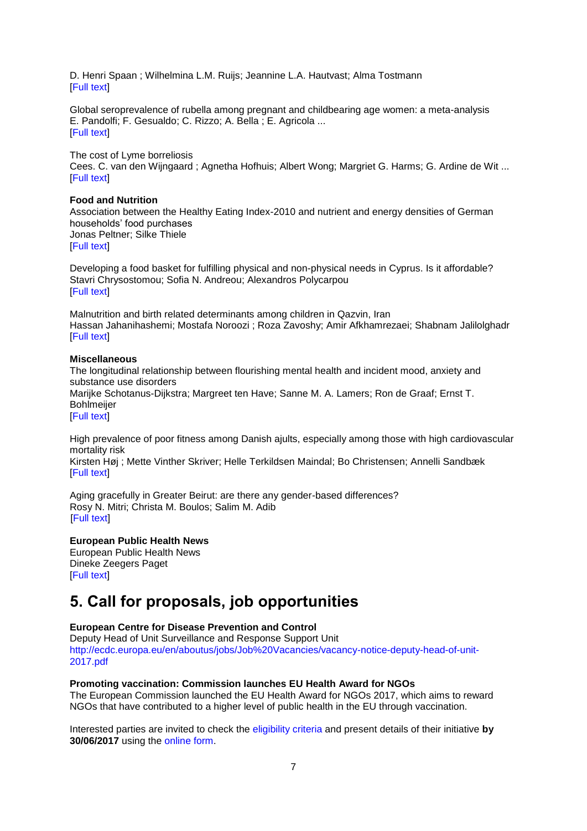[D. Henri Spaan](http://click.skem1.com/click/gm1a3-aww9hu-63tm46v7/) ; [Wilhelmina L.M. Ruijs;](http://click.skem1.com/click/gm1a3-aww9hv-63tm46v8/) [Jeannine L.A. Hautvast;](http://click.skem1.com/click/gm1a3-aww9hw-63tm46v9/) [Alma Tostmann](http://click.skem1.com/click/gm1a3-aww9hx-63tm46v0/) [\[Full text\]](http://click.skem1.com/click/gm1a3-aww9ht-63tm46v6/)

[Global seroprevalence of rubella among pregnant and childbearing age women: a meta-analysis](http://click.skem1.com/click/gm1a3-aww9hy-63tm46v1/) [E. Pandolfi;](http://click.skem1.com/click/gm1a3-aww9hz-63tm46v2/) [F. Gesualdo;](http://click.skem1.com/click/gm1a3-aww9i0-63tm46v9/) [C. Rizzo;](http://click.skem1.com/click/gm1a3-aww9i1-63tm46v0/) [A. Bella](http://click.skem1.com/click/gm1a3-aww9i2-63tm46v1/) ; [E. Agricola](http://click.skem1.com/click/gm1a3-aww9i3-63tm46v2/) ... [\[Full text\]](http://click.skem1.com/click/gm1a3-aww9hy-63tm46v1/)

[The cost of Lyme borreliosis](http://click.skem1.com/click/gm1a3-aww9i4-63tm46v3/) [Cees. C. van den Wijngaard](http://click.skem1.com/click/gm1a3-aww9i5-63tm46v4/) ; [Agnetha Hofhuis;](http://click.skem1.com/click/gm1a3-aww9i6-63tm46v5/) [Albert Wong;](http://click.skem1.com/click/gm1a3-aww9i7-63tm46v6/) [Margriet G. Harms;](http://click.skem1.com/click/gm1a3-aww9i8-63tm46v7/) [G. Ardine de Wit](http://click.skem1.com/click/gm1a3-aww9i9-63tm46v8/) ... [\[Full text\]](http://click.skem1.com/click/gm1a3-aww9i4-63tm46v3/)

#### **Food and Nutrition**

[Association between the Healthy Eating Index-2010 and nutrient and energy densities of German](http://click.skem1.com/click/gm1a3-aww9ia-63tm46v8/)  [households' food purchases](http://click.skem1.com/click/gm1a3-aww9ia-63tm46v8/) [Jonas Peltner;](http://click.skem1.com/click/gm1a3-aww9ib-63tm46v9/) [Silke Thiele](http://click.skem1.com/click/gm1a3-aww9ic-63tm46v0/) [\[Full text\]](http://click.skem1.com/click/gm1a3-aww9ia-63tm46v8/)

[Developing a food basket for fulfilling physical and non-physical needs in Cyprus. Is it affordable?](http://click.skem1.com/click/gm1a3-aww9id-63tm46v1/) [Stavri Chrysostomou;](http://click.skem1.com/click/gm1a3-aww9ie-63tm46v2/) [Sofia N. Andreou;](http://click.skem1.com/click/gm1a3-aww9if-63tm46v3/) [Alexandros Polycarpou](http://click.skem1.com/click/gm1a3-aww9ig-63tm46v4/) **[\[Full text\]](http://click.skem1.com/click/gm1a3-aww9id-63tm46v1/)** 

[Malnutrition and birth related determinants among children in Qazvin, Iran](http://click.skem1.com/click/gm1a3-aww9ih-63tm46v5/) [Hassan Jahanihashemi;](http://click.skem1.com/click/gm1a3-aww9ii-63tm46v6/) [Mostafa Noroozi](http://click.skem1.com/click/gm1a3-aww9ij-63tm46v7/) ; [Roza Zavoshy;](http://click.skem1.com/click/gm1a3-aww9ik-63tm46v8/) [Amir Afkhamrezaei;](http://click.skem1.com/click/gm1a3-aww9il-63tm46v9/) [Shabnam Jalilolghadr](http://click.skem1.com/click/gm1a3-aww9im-63tm46v0/) [\[Full text\]](http://click.skem1.com/click/gm1a3-aww9ih-63tm46v5/)

#### **Miscellaneous**

[The longitudinal relationship between flourishing mental health and incident mood, anxiety and](http://click.skem1.com/click/gm1a3-aww9in-63tm46v1/)  [substance use disorders](http://click.skem1.com/click/gm1a3-aww9in-63tm46v1/) [Marijke Schotanus-Dijkstra;](http://click.skem1.com/click/gm1a3-aww9io-63tm46v2/) [Margreet ten Have;](http://click.skem1.com/click/gm1a3-aww9ip-63tm46v3/) [Sanne M. A. Lamers;](http://click.skem1.com/click/gm1a3-aww9iq-63tm46v4/) [Ron de Graaf;](http://click.skem1.com/click/gm1a3-aww9ir-63tm46v5/) [Ernst T.](http://click.skem1.com/click/gm1a3-aww9is-63tm46v6/)  **[Bohlmeijer](http://click.skem1.com/click/gm1a3-aww9is-63tm46v6/)** [\[Full text\]](http://click.skem1.com/click/gm1a3-aww9io-63tm46v2/)

High prevalence of poor fitness among Danish ajults, especially among those with high cardiovascular mortality risk

[Kirsten Høj](http://click.skem1.com/click/gm1a3-aww9iu-63tm46v8/) ; [Mette Vinther Skriver;](http://click.skem1.com/click/gm1a3-aww9iv-63tm46v9/) [Helle Terkildsen Maindal;](http://click.skem1.com/click/gm1a3-aww9iw-63tm46v0/) [Bo Christensen;](http://click.skem1.com/click/gm1a3-aww9ix-63tm46v1/) [Annelli Sandbæk](http://click.skem1.com/click/gm1a3-aww9iy-63tm46v2/) **[\[Full text\]](https://academic.oup.com/eurpub/article/27/3/569/2769417/High-prevalence-of-poor-fitness-among-Danish)** 

[Aging gracefully in Greater Beirut: are there any gender-based differences?](http://click.skem1.com/click/gm1a3-aww9iz-63tm46v3/) [Rosy N. Mitri;](http://click.skem1.com/click/gm1a3-aww9j0-63tm46v0/) [Christa M. Boulos;](http://click.skem1.com/click/gm1a3-aww9j1-63tm46v1/) [Salim M. Adib](http://click.skem1.com/click/gm1a3-aww9j2-63tm46v2/) [\[Full text\]](http://click.skem1.com/click/gm1a3-aww9iz-63tm46v3/)

**European Public Health News**  [European Public Health News](http://click.skem1.com/click/gm1a3-aww9jd-63tm46v2/)

[Dineke Zeegers Paget](http://click.skem1.com/click/gm1a3-aww9je-63tm46v3/) [\[Full text\]](http://click.skem1.com/click/gm1a3-aww9jd-63tm46v2/)

# <span id="page-6-0"></span>**5. Call for proposals, job opportunities**

#### **European Centre for Disease Prevention and Control**

Deputy Head of Unit Surveillance and Response Support Unit [http://ecdc.europa.eu/en/aboutus/jobs/Job%20Vacancies/vacancy-notice-deputy-head-of-unit-](http://ecdc.europa.eu/en/aboutus/jobs/Job%20Vacancies/vacancy-notice-deputy-head-of-unit-2017.pdf)[2017.pdf](http://ecdc.europa.eu/en/aboutus/jobs/Job%20Vacancies/vacancy-notice-deputy-head-of-unit-2017.pdf)

#### **Promoting vaccination: Commission launches EU Health Award for NGOs**

The European Commission launched the EU Health Award for NGOs 2017, which aims to reward NGOs that have contributed to a higher level of public health in the EU through vaccination.

Interested parties are invited to check the [eligibility criteria](https://ec.europa.eu/health/ngo_award/criteria_en) and present details of their initiative **by 30/06/2017** using the [online form.](https://ec.europa.eu/health/ngo_award/submit_your_project)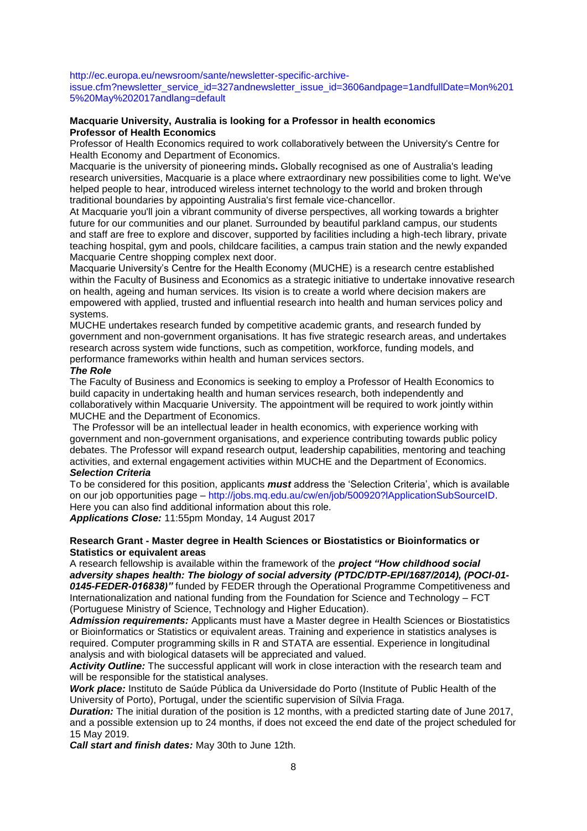[http://ec.europa.eu/newsroom/sante/newsletter-specific-archive-](http://ec.europa.eu/newsroom/sante/newsletter-specific-archive-issue.cfm?newsletter_service_id=327andnewsletter_issue_id=3606andpage=1andfullDate=Mon%2015%20May%202017andlang=default)

[issue.cfm?newsletter\\_service\\_id=327andnewsletter\\_issue\\_id=3606andpage=1andfullDate=Mon%201](http://ec.europa.eu/newsroom/sante/newsletter-specific-archive-issue.cfm?newsletter_service_id=327andnewsletter_issue_id=3606andpage=1andfullDate=Mon%2015%20May%202017andlang=default) [5%20May%202017andlang=default](http://ec.europa.eu/newsroom/sante/newsletter-specific-archive-issue.cfm?newsletter_service_id=327andnewsletter_issue_id=3606andpage=1andfullDate=Mon%2015%20May%202017andlang=default)

#### **Macquarie University, Australia is looking for a Professor in health economics Professor of Health Economics**

Professor of Health Economics required to work collaboratively between the University's Centre for Health Economy and Department of Economics.

Macquarie is the university of pioneering minds**.** Globally recognised as one of Australia's leading research universities, Macquarie is a place where extraordinary new possibilities come to light. We've helped people to hear, introduced wireless internet technology to the world and broken through traditional boundaries by appointing Australia's first female vice-chancellor.

At Macquarie you'll join a vibrant community of diverse perspectives, all working towards a brighter future for our communities and our planet. Surrounded by beautiful parkland campus, our students and staff are free to explore and discover, supported by facilities including a high-tech library, private teaching hospital, gym and pools, childcare facilities, a campus train station and the newly expanded Macquarie Centre shopping complex next door.

Macquarie University's Centre for the Health Economy (MUCHE) is a research centre established within the Faculty of Business and Economics as a strategic initiative to undertake innovative research on health, ageing and human services. Its vision is to create a world where decision makers are empowered with applied, trusted and influential research into health and human services policy and systems.

MUCHE undertakes research funded by competitive academic grants, and research funded by government and non-government organisations. It has five strategic research areas, and undertakes research across system wide functions, such as competition, workforce, funding models, and performance frameworks within health and human services sectors.

#### *The Role*

The Faculty of Business and Economics is seeking to employ a Professor of Health Economics to build capacity in undertaking health and human services research, both independently and collaboratively within Macquarie University. The appointment will be required to work jointly within MUCHE and the Department of Economics.

The Professor will be an intellectual leader in health economics, with experience working with government and non-government organisations, and experience contributing towards public policy debates. The Professor will expand research output, leadership capabilities, mentoring and teaching activities, and external engagement activities within MUCHE and the Department of Economics.

#### *Selection Criteria*

To be considered for this position, applicants *must* address the ‗Selection Criteria', which is available on our job opportunities page – [http://jobs.mq.edu.au/cw/en/job/500920?lApplicationSubSourceID.](http://jobs.mq.edu.au/cw/en/job/500920?lApplicationSubSourceID) Here you can also find additional information about this role.

*Applications Close:* 11:55pm Monday, 14 August 2017

#### **Research Grant - Master degree in Health Sciences or Biostatistics or Bioinformatics or Statistics or equivalent areas**

A research fellowship is available within the framework of the *project "How childhood social adversity shapes health: The biology of social adversity (PTDC/DTP-EPI/1687/2014), (POCI-01- 0145-FEDER-016838)"* funded by FEDER through the Operational Programme Competitiveness and Internationalization and national funding from the Foundation for Science and Technology – FCT (Portuguese Ministry of Science, Technology and Higher Education).

*Admission requirements:* Applicants must have a Master degree in Health Sciences or Biostatistics or Bioinformatics or Statistics or equivalent areas. Training and experience in statistics analyses is required. Computer programming skills in R and STATA are essential. Experience in longitudinal analysis and with biological datasets will be appreciated and valued.

*Activity Outline:* The successful applicant will work in close interaction with the research team and will be responsible for the statistical analyses.

*Work place:* Instituto de Saúde Pública da Universidade do Porto (Institute of Public Health of the University of Porto), Portugal, under the scientific supervision of Sílvia Fraga.

*Duration:* The initial duration of the position is 12 months, with a predicted starting date of June 2017, and a possible extension up to 24 months, if does not exceed the end date of the project scheduled for 15 May 2019.

*Call start and finish dates:* May 30th to June 12th.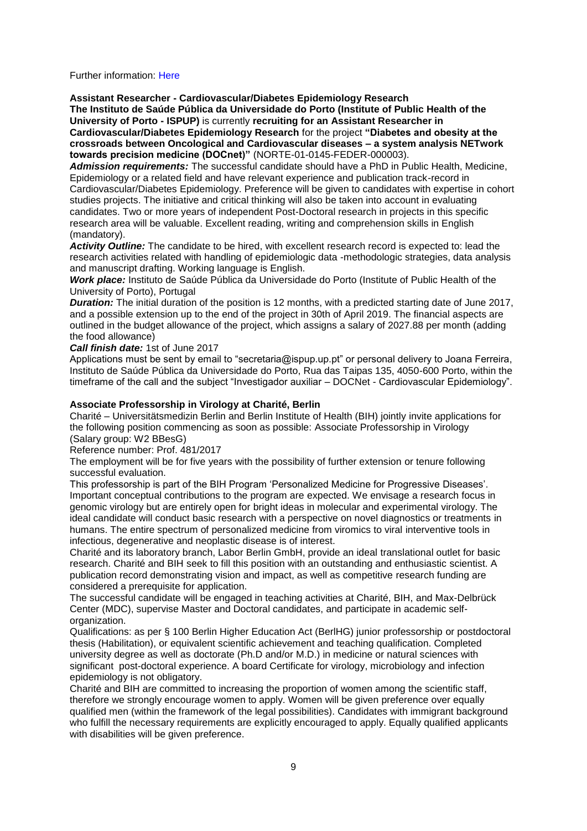Further information: [Here](http://ispup.up.pt/training-positions/scholarships/open-positions/249/)

**Assistant Researcher - Cardiovascular/Diabetes Epidemiology Research** 

**The Instituto de Saúde Pública da Universidade do Porto (Institute of Public Health of the University of Porto - ISPUP)** is currently **recruiting for an Assistant Researcher in Cardiovascular/Diabetes Epidemiology Research** for the project **"Diabetes and obesity at the crossroads between Oncological and Cardiovascular diseases – a system analysis NETwork towards precision medicine (DOCnet)"** (NORTE-01-0145-FEDER-000003).

*Admission requirements:* The successful candidate should have a PhD in Public Health, Medicine, Epidemiology or a related field and have relevant experience and publication track-record in Cardiovascular/Diabetes Epidemiology. Preference will be given to candidates with expertise in cohort studies projects. The initiative and critical thinking will also be taken into account in evaluating candidates. Two or more years of independent Post-Doctoral research in projects in this specific research area will be valuable. Excellent reading, writing and comprehension skills in English (mandatory).

*Activity Outline:* The candidate to be hired, with excellent research record is expected to: lead the research activities related with handling of epidemiologic data -methodologic strategies, data analysis and manuscript drafting. Working language is English.

*Work place:* Instituto de Saúde Pública da Universidade do Porto (Institute of Public Health of the University of Porto), Portugal

*Duration:* The initial duration of the position is 12 months, with a predicted starting date of June 2017, and a possible extension up to the end of the project in 30th of April 2019. The financial aspects are outlined in the budget allowance of the project, which assigns a salary of 2027.88 per month (adding the food allowance)

*Call finish date:* 1st of June 2017

Applications must be sent by email to "secretaria@ispup.up.pt" or personal delivery to Joana Ferreira, Instituto de Saúde Pública da Universidade do Porto, Rua das Taipas 135, 4050-600 Porto, within the timeframe of the call and the subject "Investigador auxiliar – DOCNet - Cardiovascular Epidemiology".

#### **Associate Professorship in Virology at Charité, Berlin**

Charité – Universitätsmedizin Berlin and Berlin Institute of Health (BIH) jointly invite applications for the following position commencing as soon as possible: Associate Professorship in Virology (Salary group: W2 BBesG)

Reference number: Prof. 481/2017

The employment will be for five years with the possibility of further extension or tenure following successful evaluation.

This professorship is part of the BIH Program 'Personalized Medicine for Progressive Diseases'. Important conceptual contributions to the program are expected. We envisage a research focus in genomic virology but are entirely open for bright ideas in molecular and experimental virology. The ideal candidate will conduct basic research with a perspective on novel diagnostics or treatments in humans. The entire spectrum of personalized medicine from viromics to viral interventive tools in infectious, degenerative and neoplastic disease is of interest.

Charité and its laboratory branch, Labor Berlin GmbH, provide an ideal translational outlet for basic research. Charité and BIH seek to fill this position with an outstanding and enthusiastic scientist. A publication record demonstrating vision and impact, as well as competitive research funding are considered a prerequisite for application.

The successful candidate will be engaged in teaching activities at Charité, BIH, and Max-Delbrück Center (MDC), supervise Master and Doctoral candidates, and participate in academic selforganization.

Qualifications: as per § 100 Berlin Higher Education Act (BerlHG) junior professorship or postdoctoral thesis (Habilitation), or equivalent scientific achievement and teaching qualification. Completed university degree as well as doctorate (Ph.D and/or M.D.) in medicine or natural sciences with significant post-doctoral experience. A board Certificate for virology, microbiology and infection epidemiology is not obligatory.

Charité and BIH are committed to increasing the proportion of women among the scientific staff, therefore we strongly encourage women to apply. Women will be given preference over equally qualified men (within the framework of the legal possibilities). Candidates with immigrant background who fulfill the necessary requirements are explicitly encouraged to apply. Equally qualified applicants with disabilities will be given preference.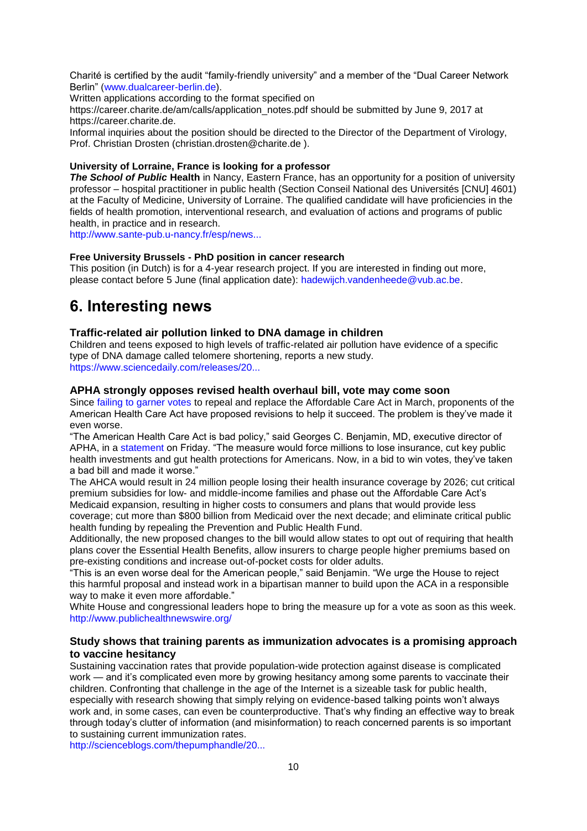Charité is certified by the audit "family-friendly university" and a member of the "Dual Career Network Berlin" [\(www.dualcareer-berlin.de\)](http://www.dualcareer-berlin.de/).

Written applications according to the format specified on

https://career.charite.de/am/calls/application\_notes.pdf should be submitted by June 9, 2017 at https://career.charite.de.

Informal inquiries about the position should be directed to the Director of the Department of Virology, Prof. Christian Drosten (christian.drosten@charite.de ).

#### **University of Lorraine, France is looking for a professor**

*The School of Public* **Health** in Nancy, Eastern France, has an opportunity for a position of university professor – hospital practitioner in public health (Section Conseil National des Universités [CNU] 4601) at the Faculty of Medicine, University of Lorraine. The qualified candidate will have proficiencies in the fields of health promotion, interventional research, and evaluation of actions and programs of public health, in practice and in research.

[http://www.sante-pub.u-nancy.fr/esp/news...](http://www.sante-pub.u-nancy.fr/esp/news/167/69/Professeur-des-Universites-Praticien-Hospitalier-PU-PH-en-sante-publique-H-F.html)

#### **Free University Brussels - PhD position in cancer research**

This position (in Dutch) is for a 4-year research project. If you are interested in finding out more, please contact before 5 June (final application date): [hadewijch.vandenheede@vub.ac.be.](mailto:hadewijch.vandenheede@vub.ac.be)

# <span id="page-9-0"></span>**6. Interesting news**

#### **Traffic-related air pollution linked to DNA damage in children**

Children and teens exposed to high levels of traffic-related air pollution have evidence of a specific type of DNA damage called telomere shortening, reports a new study. [https://www.sciencedaily.com/releases/20...](https://www.sciencedaily.com/releases/2017/05/170519153547.htm?utm_source=feedburner&utm_medium=email&utm_campaign=Feed%3A+sciencedaily%2Fscience_society%2Fpublic_health+%28Public+Health+News+--+Scien)

#### **APHA strongly opposes revised health overhaul bill, vote may come soon**

Since [failing to garner votes](https://www.apha.org/news-and-media/news-releases/apha-news-releases/2017/massive-opposition-stops-house-vote) to repeal and replace the Affordable Care Act in March, proponents of the American Health Care Act have proposed revisions to help it succeed. The problem is they've made it even worse.

"The American Health Care Act is bad policy," said Georges C. Benjamin, MD, executive director of APHA, in a [statement](https://www.apha.org/news-and-media/news-releases/apha-news-releases/2017/apha-opposes-worse-aca-repeal-bill) on Friday. "The measure would force millions to lose insurance, cut key public health investments and gut health protections for Americans. Now, in a bid to win votes, they've taken a bad bill and made it worse."

The AHCA would result in 24 million people losing their health insurance coverage by 2026; cut critical premium subsidies for low- and middle-income families and phase out the Affordable Care Act's Medicaid expansion, resulting in higher costs to consumers and plans that would provide less

coverage; cut more than \$800 billion from Medicaid over the next decade; and eliminate critical public health funding by repealing the Prevention and Public Health Fund.

Additionally, the new proposed changes to the bill would allow states to opt out of requiring that health plans cover the Essential Health Benefits, allow insurers to charge people higher premiums based on pre-existing conditions and increase out-of-pocket costs for older adults.

"This is an even worse deal for the American people," said Benjamin. "We urge the House to reject this harmful proposal and instead work in a bipartisan manner to build upon the ACA in a responsible way to make it even more affordable."

White House and congressional leaders hope to bring the measure up for a vote as soon as this week. [http://www.publichealthnewswire.org/](http://www.publichealthnewswire.org/?p=17620)

#### **Study shows that training parents as immunization advocates is a promising approach to vaccine hesitancy**

Sustaining vaccination rates that provide population-wide protection against disease is complicated work — and it's complicated even more by growing hesitancy among some parents to vaccinate their children. Confronting that challenge in the age of the Internet is a sizeable task for public health, especially with research showing that simply relying on evidence-based talking points won't always work and, in some cases, can even be counterproductive. That's why finding an effective way to break through today's clutter of information (and misinformation) to reach concerned parents is so important to sustaining current immunization rates.

[http://scienceblogs.com/thepumphandle/20...](http://scienceblogs.com/thepumphandle/2017/05/01/study-training-parents-as-immunization-advocates-a-promising-approach-to-vaccine-hesitancy/)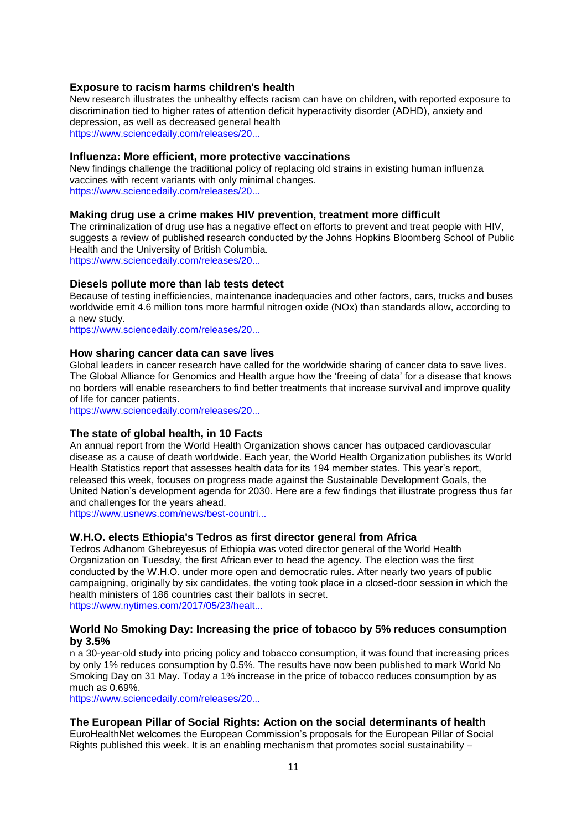#### **Exposure to racism harms children's health**

New research illustrates the unhealthy effects racism can have on children, with reported exposure to discrimination tied to higher rates of attention deficit hyperactivity disorder (ADHD), anxiety and depression, as well as decreased general health [https://www.sciencedaily.com/releases/20...](https://www.sciencedaily.com/releases/2017/05/170504083210.htm?utm_source=feedburner&utm_medium=email&utm_campaign=Feed%3A+sciencedaily%2Fscience_society%2Fpublic_health+%28Public+Health+News+--+Scien)

#### **Influenza: More efficient, more protective vaccinations**

New findings challenge the traditional policy of replacing old strains in existing human influenza vaccines with recent variants with only minimal changes. [https://www.sciencedaily.com/releases/20...](https://www.sciencedaily.com/releases/2017/04/170421091527.htm?utm_source=feedburner&utm_medium=email&utm_campaign=Feed%3A+sciencedaily%2Fscience_society%2Fpublic_health+%28Public+Health+News+--+Scien)

#### **Making drug use a crime makes HIV prevention, treatment more difficult**

The criminalization of drug use has a negative effect on efforts to prevent and treat people with HIV, suggests a review of published research conducted by the Johns Hopkins Bloomberg School of Public Health and the University of British Columbia.

[https://www.sciencedaily.com/releases/20...](https://www.sciencedaily.com/releases/2017/05/170515101210.htm?utm_source=feedburner&utm_medium=email&utm_campaign=Feed%3A+sciencedaily%2Fscience_society%2Fpublic_health+%28Public+Health+News+--+Scien)

#### **Diesels pollute more than lab tests detect**

Because of testing inefficiencies, maintenance inadequacies and other factors, cars, trucks and buses worldwide emit 4.6 million tons more harmful nitrogen oxide (NOx) than standards allow, according to a new study.

[https://www.sciencedaily.com/releases/20...](https://www.sciencedaily.com/releases/2017/05/170515111557.htm?utm_source=feedburner&utm_medium=email&utm_campaign=Feed%3A+sciencedaily%2Fscience_society%2Fpublic_health+%28Public+Health+News+--+Scien)

#### **How sharing cancer data can save lives**

Global leaders in cancer research have called for the worldwide sharing of cancer data to save lives. The Global Alliance for Genomics and Health argue how the 'freeing of data' for a disease that knows no borders will enable researchers to find better treatments that increase survival and improve quality of life for cancer patients.

[https://www.sciencedaily.com/releases/20...](https://www.sciencedaily.com/releases/2017/05/170524194806.htm?utm_source=feedburner&utm_medium=email&utm_campaign=Feed%3A+sciencedaily%2Fscience_society%2Fpublic_health+%28Public+Health+News+--+Scien)

#### **The state of global health, in 10 Facts**

An annual report from the World Health Organization shows cancer has outpaced cardiovascular disease as a cause of death worldwide. Each year, the World Health Organization publishes its World Health Statistics report that assesses health data for its 194 member states. This year's report, released this week, focuses on progress made against the Sustainable Development Goals, the United Nation's development agenda for 2030. Here are a few findings that illustrate progress thus far and challenges for the years ahead.

[https://www.usnews.com/news/best-countri...](https://www.usnews.com/news/best-countries/articles/2017-05-18/10-findings-from-whos-annual-world-health-statistics-report)

#### **W.H.O. elects Ethiopia's Tedros as first director general from Africa**

Tedros Adhanom Ghebreyesus of Ethiopia was voted director general of the World Health Organization on Tuesday, the first African ever to head the agency. The election was the first conducted by the W.H.O. under more open and democratic rules. After nearly two years of public campaigning, originally by six candidates, the voting took place in a closed-door session in which the health ministers of 186 countries cast their ballots in secret. [https://www.nytimes.com/2017/05/23/healt...](https://www.nytimes.com/2017/05/23/health/tedros-world-health-organization-director-general.html?_r=1)

#### **World No Smoking Day: Increasing the price of tobacco by 5% reduces consumption by 3.5%**

n a 30-year-old study into pricing policy and tobacco consumption, it was found that increasing prices by only 1% reduces consumption by 0.5%. The results have now been published to mark World No Smoking Day on 31 May. Today a 1% increase in the price of tobacco reduces consumption by as much as 0.69%.

[https://www.sciencedaily.com/releases/20...](https://www.sciencedaily.com/releases/2017/05/170529090431.htm?utm_source=feedburner&utm_medium=email&utm_campaign=Feed%3A+sciencedaily%2Fscience_society%2Fpublic_health+%28Public+Health+News+--+Scien)

#### **The European Pillar of Social Rights: Action on the social determinants of health**

EuroHealthNet welcomes the European Commission's proposals for the European Pillar of Social Rights published this week. It is an enabling mechanism that promotes social sustainability  $-$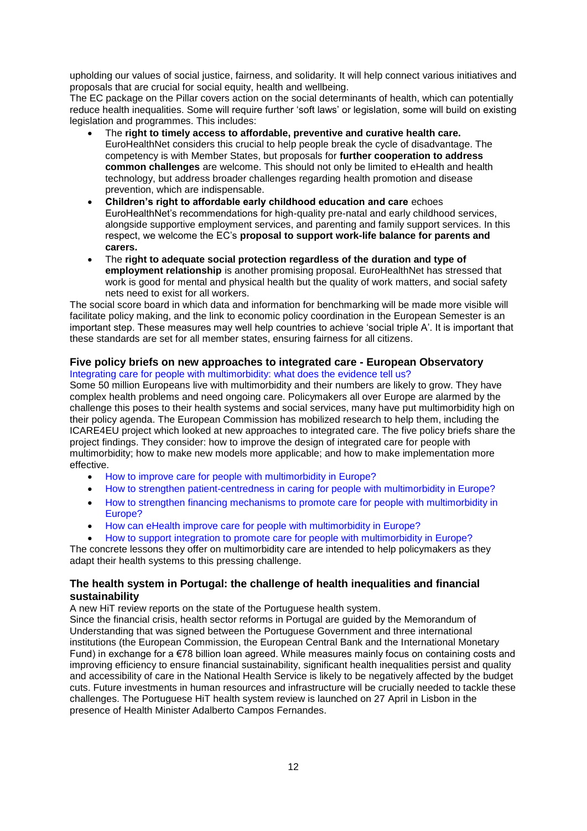upholding our values of social justice, fairness, and solidarity. It will help connect various initiatives and proposals that are crucial for social equity, health and wellbeing.

The EC package on the Pillar covers action on the social determinants of health, which can potentially reduce health inequalities. Some will require further 'soft laws' or legislation, some will build on existing legislation and programmes. This includes:

- The **right to timely access to affordable, preventive and curative health care.** EuroHealthNet considers this crucial to help people break the cycle of disadvantage. The competency is with Member States, but proposals for **further cooperation to address common challenges** are welcome. This should not only be limited to eHealth and health technology, but address broader challenges regarding health promotion and disease prevention, which are indispensable.
- **Children"s right to affordable early childhood education and care** echoes EuroHealthNet's recommendations for high-quality pre-natal and early childhood services, alongside supportive employment services, and parenting and family support services. In this respect, we welcome the EC's **proposal to support work-life balance for parents and carers.**
- The **right to adequate social protection regardless of the duration and type of employment relationship** is another promising proposal. EuroHealthNet has stressed that work is good for mental and physical health but the quality of work matters, and social safety nets need to exist for all workers.

The social score board in which data and information for benchmarking will be made more visible will facilitate policy making, and the link to economic policy coordination in the European Semester is an important step. These measures may well help countries to achieve 'social triple A'. It is important that these standards are set for all member states, ensuring fairness for all citizens.

#### **Five policy briefs on new approaches to integrated care - European Observatory** [Integrating care for people with multimorbidity: what does the evidence tell us?](http://www.euro.who.int/en/about-us/partners/observatory/news/news/2017/04/integrating-care-for-people-with-multimorbidity-what-does-the-evidence-tell-us)

Some 50 million Europeans live with multimorbidity and their numbers are likely to grow. They have complex health problems and need ongoing care. Policymakers all over Europe are alarmed by the challenge this poses to their health systems and social services, many have put multimorbidity high on their policy agenda. The European Commission has mobilized research to help them, including the ICARE4EU project which looked at new approaches to integrated care. The five policy briefs share the project findings. They consider: how to improve the design of integrated care for people with multimorbidity; how to make new models more applicable; and how to make implementation more effective.

- [How to improve care for people with multimorbidity in Europe?](http://www.euro.who.int/en/about-us/partners/observatory/publications/policy-briefs-and-summaries/how-to-improve-care-for-people-with-multimorbidity-in-europe)
- [How to strengthen patient-centredness in caring for people with multimorbidity in Europe?](http://www.euro.who.int/en/about-us/partners/observatory/publications/policy-briefs-and-summaries/how-to-strengthen-patient-centredness-in-caring-for-people-with-multimorbidity-in-europe)
- [How to strengthen financing mechanisms to promote care for people with multimorbidity in](http://www.euro.who.int/en/about-us/partners/observatory/publications/policy-briefs-and-summaries/how-to-strengthen-financing-mechanisms-to-promote-care-for-people-with-multimorbidity-in-europe)  [Europe?](http://www.euro.who.int/en/about-us/partners/observatory/publications/policy-briefs-and-summaries/how-to-strengthen-financing-mechanisms-to-promote-care-for-people-with-multimorbidity-in-europe)
- [How can eHealth improve care for people with multimorbidity in Europe?](http://www.euro.who.int/en/about-us/partners/observatory/publications/policy-briefs-and-summaries/how-can-ehealth-improve-care-for-people-with-multimorbidity-in-europe)
- [How to support integration to promote care for people with multimorbidity in Europe?](http://www.euro.who.int/en/about-us/partners/observatory/publications/policy-briefs-and-summaries/how-to-support-integration-to-promote-care-for-people-with-multimorbidity-in-europe)

The concrete lessons they offer on multimorbidity care are intended to help policymakers as they adapt their health systems to this pressing challenge.

## **The health system in Portugal: the challenge of health inequalities and financial sustainability**

A new HiT review reports on the state of the Portuguese health system.

Since the financial crisis, health sector reforms in Portugal are guided by the Memorandum of Understanding that was signed between the Portuguese Government and three international institutions (the European Commission, the European Central Bank and the International Monetary Fund) in exchange for a €78 billion loan agreed. While measures mainly focus on containing costs and improving efficiency to ensure financial sustainability, significant health inequalities persist and quality and accessibility of care in the National Health Service is likely to be negatively affected by the budget cuts. Future investments in human resources and infrastructure will be crucially needed to tackle these challenges. The Portuguese HiT health system review is launched on 27 April in Lisbon in the presence of Health Minister Adalberto Campos Fernandes.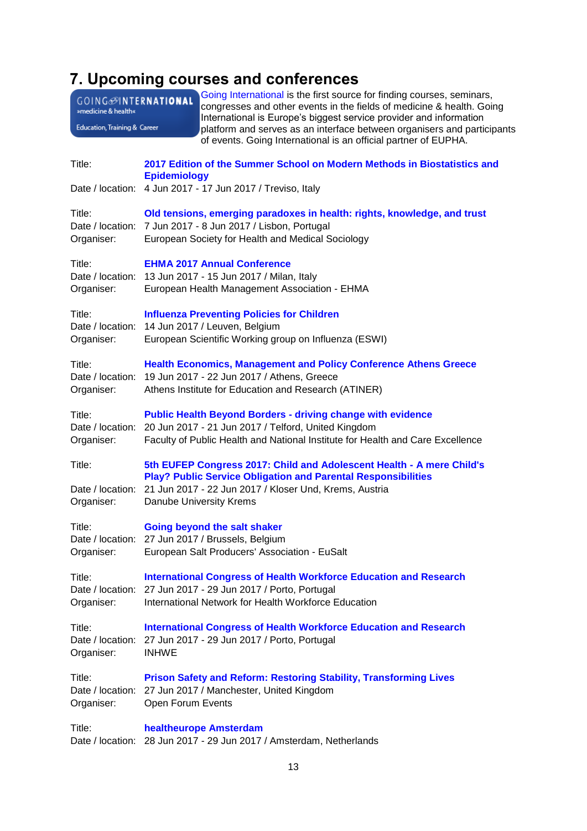# <span id="page-12-0"></span>**7. Upcoming courses and conferences**

<span id="page-12-1"></span>

| GOING <sup>OINTERNATIONAL</sup><br>»medicine & health«<br>Education, Training & Career |                                                                                                 | Going International is the first source for finding courses, seminars,<br>congresses and other events in the fields of medicine & health. Going<br>International is Europe's biggest service provider and information<br>platform and serves as an interface between organisers and participants<br>of events. Going International is an official partner of EUPHA. |
|----------------------------------------------------------------------------------------|-------------------------------------------------------------------------------------------------|---------------------------------------------------------------------------------------------------------------------------------------------------------------------------------------------------------------------------------------------------------------------------------------------------------------------------------------------------------------------|
| Title:                                                                                 | 2017 Edition of the Summer School on Modern Methods in Biostatistics and<br><b>Epidemiology</b> |                                                                                                                                                                                                                                                                                                                                                                     |
|                                                                                        |                                                                                                 | Date / location: 4 Jun 2017 - 17 Jun 2017 / Treviso, Italy                                                                                                                                                                                                                                                                                                          |
| Title:<br>Organiser:                                                                   |                                                                                                 | Old tensions, emerging paradoxes in health: rights, knowledge, and trust<br>Date / location: 7 Jun 2017 - 8 Jun 2017 / Lisbon, Portugal<br>European Society for Health and Medical Sociology                                                                                                                                                                        |
| Title:<br>Organiser:                                                                   |                                                                                                 | <b>EHMA 2017 Annual Conference</b><br>Date / location: 13 Jun 2017 - 15 Jun 2017 / Milan, Italy<br>European Health Management Association - EHMA                                                                                                                                                                                                                    |
| Title:<br>Organiser:                                                                   |                                                                                                 | <b>Influenza Preventing Policies for Children</b><br>Date / location: 14 Jun 2017 / Leuven, Belgium<br>European Scientific Working group on Influenza (ESWI)                                                                                                                                                                                                        |
| Title:<br>Date / location:<br>Organiser:                                               |                                                                                                 | <b>Health Economics, Management and Policy Conference Athens Greece</b><br>19 Jun 2017 - 22 Jun 2017 / Athens, Greece<br>Athens Institute for Education and Research (ATINER)                                                                                                                                                                                       |
| Title:<br>Organiser:                                                                   |                                                                                                 | <b>Public Health Beyond Borders - driving change with evidence</b><br>Date / location: 20 Jun 2017 - 21 Jun 2017 / Telford, United Kingdom<br>Faculty of Public Health and National Institute for Health and Care Excellence                                                                                                                                        |
| Title:<br>Date / location:<br>Organiser:                                               |                                                                                                 | 5th EUFEP Congress 2017: Child and Adolescent Health - A mere Child's<br><b>Play? Public Service Obligation and Parental Responsibilities</b><br>21 Jun 2017 - 22 Jun 2017 / Kloser Und, Krems, Austria<br>Danube University Krems                                                                                                                                  |
| Title:<br>Organiser:                                                                   |                                                                                                 | <b>Going beyond the salt shaker</b><br>Date / location: 27 Jun 2017 / Brussels, Belgium<br>European Salt Producers' Association - EuSalt                                                                                                                                                                                                                            |
| Title:<br>Date / location:<br>Organiser:                                               |                                                                                                 | <b>International Congress of Health Workforce Education and Research</b><br>27 Jun 2017 - 29 Jun 2017 / Porto, Portugal<br>International Network for Health Workforce Education                                                                                                                                                                                     |
| Title:<br>Date / location:<br>Organiser:                                               | <b>INHWE</b>                                                                                    | <b>International Congress of Health Workforce Education and Research</b><br>27 Jun 2017 - 29 Jun 2017 / Porto, Portugal                                                                                                                                                                                                                                             |
| Title:<br>Organiser:                                                                   | Open Forum Events                                                                               | <b>Prison Safety and Reform: Restoring Stability, Transforming Lives</b><br>Date / location: 27 Jun 2017 / Manchester, United Kingdom                                                                                                                                                                                                                               |
| Title:                                                                                 |                                                                                                 | healtheurope Amsterdam<br>Date / location: 28 Jun 2017 - 29 Jun 2017 / Amsterdam, Netherlands                                                                                                                                                                                                                                                                       |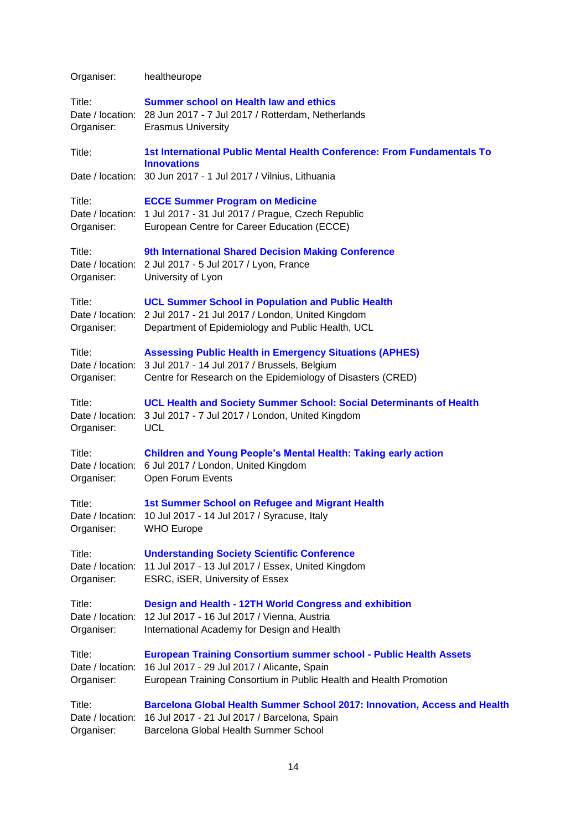Organiser: healtheurope

| Title:<br>Organiser:                     | Summer school on Health law and ethics<br>Date / location: 28 Jun 2017 - 7 Jul 2017 / Rotterdam, Netherlands<br><b>Erasmus University</b>                                                                      |
|------------------------------------------|----------------------------------------------------------------------------------------------------------------------------------------------------------------------------------------------------------------|
| Title:                                   | 1st International Public Mental Health Conference: From Fundamentals To<br><b>Innovations</b>                                                                                                                  |
|                                          | Date / location: 30 Jun 2017 - 1 Jul 2017 / Vilnius, Lithuania                                                                                                                                                 |
| Title:<br>Organiser:                     | <b>ECCE Summer Program on Medicine</b><br>Date / location: 1 Jul 2017 - 31 Jul 2017 / Prague, Czech Republic<br>European Centre for Career Education (ECCE)                                                    |
| Title:<br>Organiser:                     | 9th International Shared Decision Making Conference<br>Date / location: 2 Jul 2017 - 5 Jul 2017 / Lyon, France<br>University of Lyon                                                                           |
| Title:<br>Organiser:                     | <b>UCL Summer School in Population and Public Health</b><br>Date / location: 2 Jul 2017 - 21 Jul 2017 / London, United Kingdom<br>Department of Epidemiology and Public Health, UCL                            |
| Title:<br>Date / location:<br>Organiser: | <b>Assessing Public Health in Emergency Situations (APHES)</b><br>3 Jul 2017 - 14 Jul 2017 / Brussels, Belgium<br>Centre for Research on the Epidemiology of Disasters (CRED)                                  |
| Title:<br>Date / location:<br>Organiser: | <b>UCL Health and Society Summer School: Social Determinants of Health</b><br>3 Jul 2017 - 7 Jul 2017 / London, United Kingdom<br><b>UCL</b>                                                                   |
| Title:<br>Organiser:                     | <b>Children and Young People's Mental Health: Taking early action</b><br>Date / location: 6 Jul 2017 / London, United Kingdom<br>Open Forum Events                                                             |
| Title:<br>Date / location:<br>Organiser: | 1st Summer School on Refugee and Migrant Health<br>10 Jul 2017 - 14 Jul 2017 / Syracuse, Italy<br><b>WHO Europe</b>                                                                                            |
| Title:<br>Organiser:                     | <b>Understanding Society Scientific Conference</b><br>Date / location: 11 Jul 2017 - 13 Jul 2017 / Essex, United Kingdom<br>ESRC, iSER, University of Essex                                                    |
| Title:<br>Organiser:                     | <b>Design and Health - 12TH World Congress and exhibition</b><br>Date / location: 12 Jul 2017 - 16 Jul 2017 / Vienna, Austria<br>International Academy for Design and Health                                   |
| Title:<br>Organiser:                     | <b>European Training Consortium summer school - Public Health Assets</b><br>Date / location: 16 Jul 2017 - 29 Jul 2017 / Alicante, Spain<br>European Training Consortium in Public Health and Health Promotion |
| Title:                                   | <b>Barcelona Global Health Summer School 2017: Innovation, Access and Health</b><br>Date / location: 16 Jul 2017 - 21 Jul 2017 / Barcelona, Spain<br>ilana Olehal I lealth Oileannas Oak                       |

Organiser: Barcelona Global Health Summer School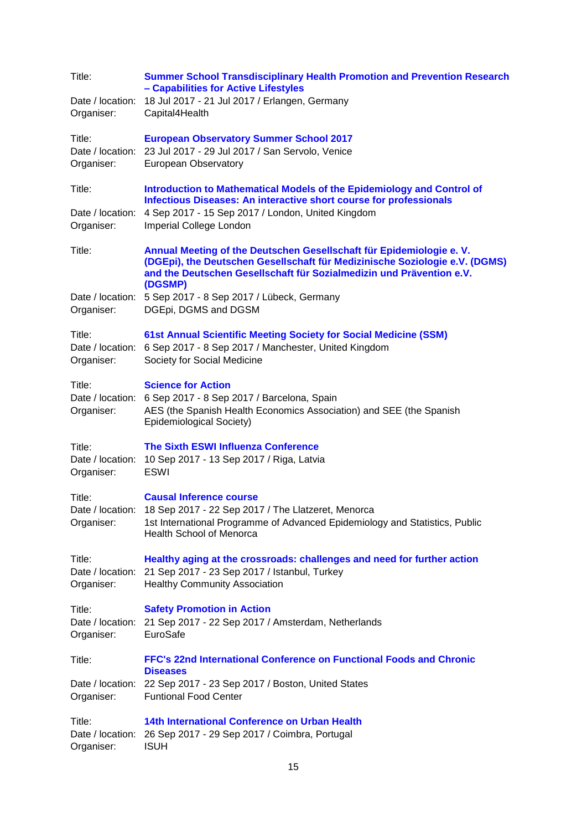| Title:<br>Date / location:<br>Organiser:               | <b>Summer School Transdisciplinary Health Promotion and Prevention Research</b><br>- Capabilities for Active Lifestyles<br>18 Jul 2017 - 21 Jul 2017 / Erlangen, Germany<br>Capital4Health                                                                                          |
|--------------------------------------------------------|-------------------------------------------------------------------------------------------------------------------------------------------------------------------------------------------------------------------------------------------------------------------------------------|
| Title:<br>Organiser:                                   | <b>European Observatory Summer School 2017</b><br>Date / location: 23 Jul 2017 - 29 Jul 2017 / San Servolo, Venice<br><b>European Observatory</b>                                                                                                                                   |
| Title:<br>Date / location:<br>Organiser:               | Introduction to Mathematical Models of the Epidemiology and Control of<br>Infectious Diseases: An interactive short course for professionals<br>4 Sep 2017 - 15 Sep 2017 / London, United Kingdom<br>Imperial College London                                                        |
| Title:<br>Date / location:                             | Annual Meeting of the Deutschen Gesellschaft für Epidemiologie e. V.<br>(DGEpi), the Deutschen Gesellschaft für Medizinische Soziologie e.V. (DGMS)<br>and the Deutschen Gesellschaft für Sozialmedizin und Prävention e.V.<br>(DGSMP)<br>5 Sep 2017 - 8 Sep 2017 / Lübeck, Germany |
| Organiser:<br>Title:<br>Date / location:<br>Organiser: | DGEpi, DGMS and DGSM<br><b>61st Annual Scientific Meeting Society for Social Medicine (SSM)</b><br>6 Sep 2017 - 8 Sep 2017 / Manchester, United Kingdom<br>Society for Social Medicine                                                                                              |
| Title:<br>Organiser:                                   | <b>Science for Action</b><br>Date / location: 6 Sep 2017 - 8 Sep 2017 / Barcelona, Spain<br>AES (the Spanish Health Economics Association) and SEE (the Spanish<br>Epidemiological Society)                                                                                         |
| Title:<br>Organiser:                                   | <b>The Sixth ESWI Influenza Conference</b><br>Date / location: 10 Sep 2017 - 13 Sep 2017 / Riga, Latvia<br><b>ESWI</b>                                                                                                                                                              |
| Title:<br>Organiser:                                   | <b>Causal Inference course</b><br>Date / location: 18 Sep 2017 - 22 Sep 2017 / The Llatzeret, Menorca<br>1st International Programme of Advanced Epidemiology and Statistics, Public<br><b>Health School of Menorca</b>                                                             |
| Title:<br>Date / location:<br>Organiser:               | Healthy aging at the crossroads: challenges and need for further action<br>21 Sep 2017 - 23 Sep 2017 / Istanbul, Turkey<br><b>Healthy Community Association</b>                                                                                                                     |
| Title:<br>Date / location:<br>Organiser:               | <b>Safety Promotion in Action</b><br>21 Sep 2017 - 22 Sep 2017 / Amsterdam, Netherlands<br>EuroSafe                                                                                                                                                                                 |
| Title:<br>Date / location:<br>Organiser:               | FFC's 22nd International Conference on Functional Foods and Chronic<br><b>Diseases</b><br>22 Sep 2017 - 23 Sep 2017 / Boston, United States<br><b>Funtional Food Center</b>                                                                                                         |
| Title:<br>Date / location:<br>Organiser:               | 14th International Conference on Urban Health<br>26 Sep 2017 - 29 Sep 2017 / Coimbra, Portugal<br><b>ISUH</b>                                                                                                                                                                       |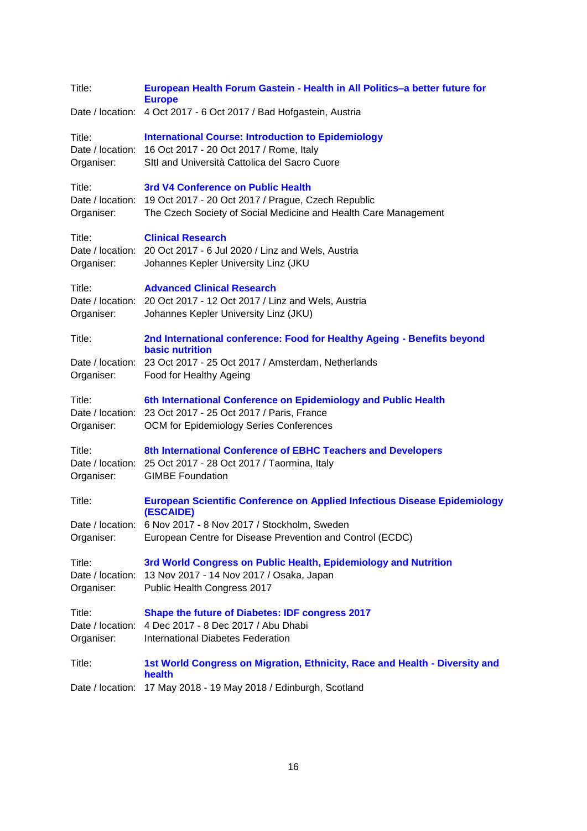| Title:                                   | European Health Forum Gastein - Health in All Politics-a better future for<br><b>Europe</b>                                                                                  |
|------------------------------------------|------------------------------------------------------------------------------------------------------------------------------------------------------------------------------|
|                                          | Date / location: 4 Oct 2017 - 6 Oct 2017 / Bad Hofgastein, Austria                                                                                                           |
| Title:<br>Organiser:                     | <b>International Course: Introduction to Epidemiology</b><br>Date / location: 16 Oct 2017 - 20 Oct 2017 / Rome, Italy<br>SItl and Università Cattolica del Sacro Cuore       |
| Title:<br>Organiser:                     | 3rd V4 Conference on Public Health<br>Date / location: 19 Oct 2017 - 20 Oct 2017 / Prague, Czech Republic<br>The Czech Society of Social Medicine and Health Care Management |
| Title:<br>Organiser:                     | <b>Clinical Research</b><br>Date / location: 20 Oct 2017 - 6 Jul 2020 / Linz and Wels, Austria<br>Johannes Kepler University Linz (JKU                                       |
| Title:<br>Organiser:                     | <b>Advanced Clinical Research</b><br>Date / location: 20 Oct 2017 - 12 Oct 2017 / Linz and Wels, Austria<br>Johannes Kepler University Linz (JKU)                            |
| Title:                                   | 2nd International conference: Food for Healthy Ageing - Benefits beyond<br><b>basic nutrition</b>                                                                            |
| Organiser:                               | Date / location: 23 Oct 2017 - 25 Oct 2017 / Amsterdam, Netherlands<br>Food for Healthy Ageing                                                                               |
| Title:<br>Organiser:                     | 6th International Conference on Epidemiology and Public Health<br>Date / location: 23 Oct 2017 - 25 Oct 2017 / Paris, France<br>OCM for Epidemiology Series Conferences      |
| Title:<br>Organiser:                     | 8th International Conference of EBHC Teachers and Developers<br>Date / location: 25 Oct 2017 - 28 Oct 2017 / Taormina, Italy<br><b>GIMBE Foundation</b>                      |
| Title:                                   | <b>European Scientific Conference on Applied Infectious Disease Epidemiology</b><br>(ESCAIDE)                                                                                |
| Organiser:                               | Date / location: 6 Nov 2017 - 8 Nov 2017 / Stockholm, Sweden<br>European Centre for Disease Prevention and Control (ECDC)                                                    |
| Title:<br>Date / location:<br>Organiser: | 3rd World Congress on Public Health, Epidemiology and Nutrition<br>13 Nov 2017 - 14 Nov 2017 / Osaka, Japan<br>Public Health Congress 2017                                   |
| Title:<br>Organiser:                     | <b>Shape the future of Diabetes: IDF congress 2017</b><br>Date / location: 4 Dec 2017 - 8 Dec 2017 / Abu Dhabi<br><b>International Diabetes Federation</b>                   |
| Title:                                   | 1st World Congress on Migration, Ethnicity, Race and Health - Diversity and<br>health                                                                                        |
| Date / location:                         | 17 May 2018 - 19 May 2018 / Edinburgh, Scotland                                                                                                                              |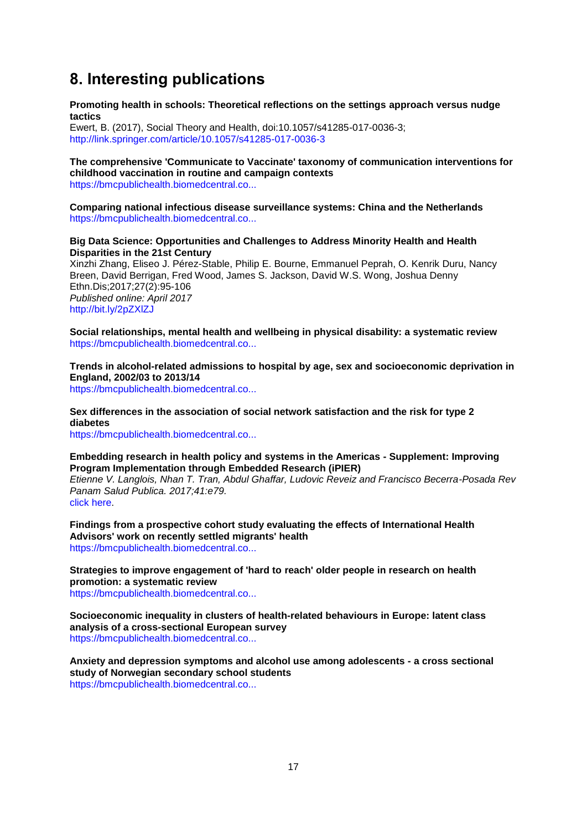# **8. Interesting publications**

**Promoting health in schools: Theoretical reflections on the settings approach versus nudge tactics**

Ewert, B. (2017), Social Theory and Health, doi:10.1057/s41285-017-0036-3; <http://link.springer.com/article/10.1057/s41285-017-0036-3>

#### **The comprehensive 'Communicate to Vaccinate' taxonomy of communication interventions for childhood vaccination in routine and campaign contexts** [https://bmcpublichealth.biomedcentral.co...](https://bmcpublichealth.biomedcentral.com/articles/10.1186/s12889-017-4320-x)

**Comparing national infectious disease surveillance systems: China and the Netherlands** [https://bmcpublichealth.biomedcentral.co...](https://bmcpublichealth.biomedcentral.com/articles/10.1186/s12889-017-4319-3)

#### **Big Data Science: Opportunities and Challenges to Address Minority Health and Health Disparities in the 21st Century**

Xinzhi Zhang, Eliseo J. Pérez-Stable, Philip E. Bourne, Emmanuel Peprah, O. Kenrik Duru, Nancy Breen, David Berrigan, Fred Wood, James S. Jackson, David W.S. Wong, Joshua Denny Ethn.Dis;2017;27(2):95-106 *Published online: April 2017* <http://bit.ly/2pZXlZJ>

**Social relationships, mental health and wellbeing in physical disability: a systematic review** [https://bmcpublichealth.biomedcentral.co...](https://bmcpublichealth.biomedcentral.com/articles/10.1186/s12889-017-4308-6)

**Trends in alcohol-related admissions to hospital by age, sex and socioeconomic deprivation in England, 2002/03 to 2013/14**

[https://bmcpublichealth.biomedcentral.co...](https://bmcpublichealth.biomedcentral.com/articles/10.1186/s12889-017-4265-0)

#### **Sex differences in the association of social network satisfaction and the risk for type 2 diabetes**

[https://bmcpublichealth.biomedcentral.co...](https://bmcpublichealth.biomedcentral.com/articles/10.1186/s12889-017-4323-7)

#### **Embedding research in health policy and systems in the Americas - Supplement: Improving Program Implementation through Embedded Research (iPIER)**

*Etienne V. Langlois, Nhan T. Tran, Abdul Ghaffar, Ludovic Reveiz and Francisco Becerra-Posada Rev Panam Salud Publica. 2017;41:e79.* [click here.](http://bit.ly/2qoS3sy)

**Findings from a prospective cohort study evaluating the effects of International Health Advisors' work on recently settled migrants' health** [https://bmcpublichealth.biomedcentral.co...](https://bmcpublichealth.biomedcentral.com/articles/10.1186/s12889-017-4273-0)

**Strategies to improve engagement of 'hard to reach' older people in research on health promotion: a systematic review** [https://bmcpublichealth.biomedcentral.co...](https://bmcpublichealth.biomedcentral.com/articles/10.1186/s12889-017-4241-8)

**Socioeconomic inequality in clusters of health-related behaviours in Europe: latent class analysis of a cross-sectional European survey** [https://bmcpublichealth.biomedcentral.co...](https://bmcpublichealth.biomedcentral.com/articles/10.1186/s12889-017-4440-3)

**Anxiety and depression symptoms and alcohol use among adolescents - a cross sectional study of Norwegian secondary school students** [https://bmcpublichealth.biomedcentral.co...](https://bmcpublichealth.biomedcentral.com/articles/10.1186/s12889-017-4389-2)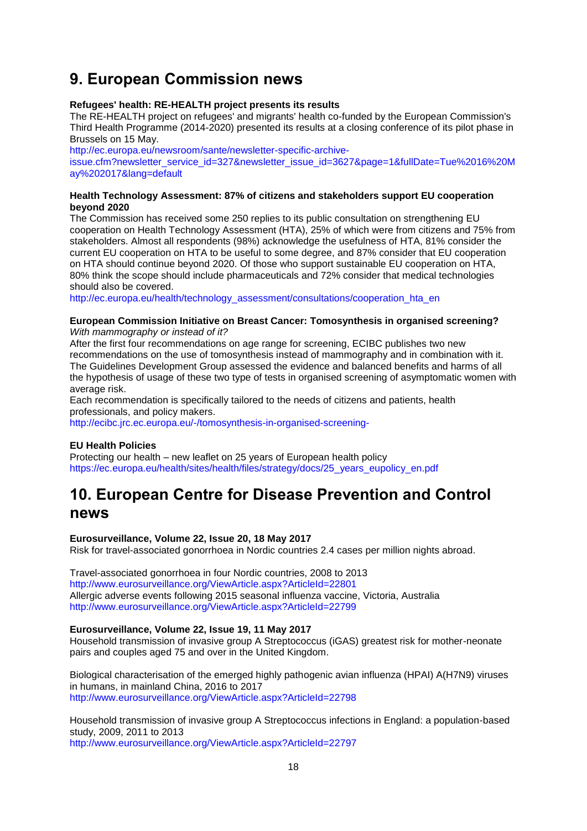# <span id="page-17-0"></span>**9. European Commission news**

#### **Refugees' health: RE-HEALTH project presents its results**

The RE-HEALTH project on refugees' and migrants' health co-funded by the European Commission's Third Health Programme (2014-2020) presented its results at a closing conference of its pilot phase in Brussels on 15 May.

[http://ec.europa.eu/newsroom/sante/newsletter-specific-archive-](http://ec.europa.eu/newsroom/sante/newsletter-specific-archive-issue.cfm?newsletter_service_id=327&newsletter_issue_id=3627&page=1&fullDate=Tue%2016%20May%202017&lang=default)

[issue.cfm?newsletter\\_service\\_id=327&newsletter\\_issue\\_id=3627&page=1&fullDate=Tue%2016%20M](http://ec.europa.eu/newsroom/sante/newsletter-specific-archive-issue.cfm?newsletter_service_id=327&newsletter_issue_id=3627&page=1&fullDate=Tue%2016%20May%202017&lang=default) [ay%202017&lang=default](http://ec.europa.eu/newsroom/sante/newsletter-specific-archive-issue.cfm?newsletter_service_id=327&newsletter_issue_id=3627&page=1&fullDate=Tue%2016%20May%202017&lang=default)

#### **Health Technology Assessment: 87% of citizens and stakeholders support EU cooperation beyond 2020**

The Commission has received some 250 replies to its public consultation on strengthening EU cooperation on Health Technology Assessment (HTA), 25% of which were from citizens and 75% from stakeholders. Almost all respondents (98%) acknowledge the usefulness of HTA, 81% consider the current EU cooperation on HTA to be useful to some degree, and 87% consider that EU cooperation on HTA should continue beyond 2020. Of those who support sustainable EU cooperation on HTA, 80% think the scope should include pharmaceuticals and 72% consider that medical technologies should also be covered.

[http://ec.europa.eu/health/technology\\_assessment/consultations/cooperation\\_hta\\_en](http://ec.europa.eu/health/technology_assessment/consultations/cooperation_hta_en)

#### **European Commission Initiative on Breast Cancer: Tomosynthesis in organised screening?** *With mammography or instead of it?*

After the first four recommendations on age range for screening, ECIBC publishes two new recommendations on the use of tomosynthesis instead of mammography and in combination with it. The Guidelines Development Group assessed the evidence and balanced benefits and harms of all the hypothesis of usage of these two type of tests in organised screening of asymptomatic women with average risk.

Each recommendation is specifically tailored to the needs of citizens and patients, health professionals, and policy makers.

<http://ecibc.jrc.ec.europa.eu/-/tomosynthesis-in-organised-screening->

#### **EU Health Policies**

Protecting our health – new leaflet on 25 years of European health policy [https://ec.europa.eu/health/sites/health/files/strategy/docs/25\\_years\\_eupolicy\\_en.pdf](https://ec.europa.eu/health/sites/health/files/strategy/docs/25_years_eupolicy_en.pdf)

## <span id="page-17-1"></span>**10. European Centre for Disease Prevention and Control news**

#### **Eurosurveillance, Volume 22, Issue 20, 18 May 2017**

Risk for travel-associated gonorrhoea in Nordic countries 2.4 cases per million nights abroad.

Travel-associated gonorrhoea in four Nordic countries, 2008 to 2013 <http://www.eurosurveillance.org/ViewArticle.aspx?ArticleId=22801> Allergic adverse events following 2015 seasonal influenza vaccine, Victoria, Australia <http://www.eurosurveillance.org/ViewArticle.aspx?ArticleId=22799>

#### **Eurosurveillance, Volume 22, Issue 19, 11 May 2017**

Household transmission of invasive group A Streptococcus (iGAS) greatest risk for mother-neonate pairs and couples aged 75 and over in the United Kingdom.

Biological characterisation of the emerged highly pathogenic avian influenza (HPAI) A(H7N9) viruses in humans, in mainland China, 2016 to 2017 <http://www.eurosurveillance.org/ViewArticle.aspx?ArticleId=22798>

Household transmission of invasive group A Streptococcus infections in England: a population-based study, 2009, 2011 to 2013 <http://www.eurosurveillance.org/ViewArticle.aspx?ArticleId=22797>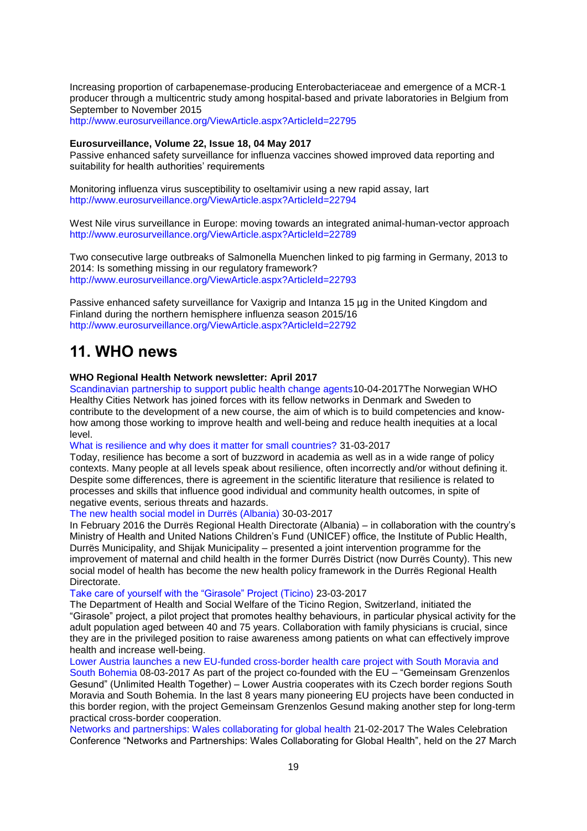Increasing proportion of carbapenemase-producing Enterobacteriaceae and emergence of a MCR-1 producer through a multicentric study among hospital-based and private laboratories in Belgium from September to November 2015

<http://www.eurosurveillance.org/ViewArticle.aspx?ArticleId=22795>

#### **Eurosurveillance, Volume 22, Issue 18, 04 May 2017**

Passive enhanced safety surveillance for influenza vaccines showed improved data reporting and suitability for health authorities' requirements

Monitoring influenza virus susceptibility to oseltamivir using a new rapid assay, Iart <http://www.eurosurveillance.org/ViewArticle.aspx?ArticleId=22794>

West Nile virus surveillance in Europe: moving towards an integrated animal-human-vector approach <http://www.eurosurveillance.org/ViewArticle.aspx?ArticleId=22789>

Two consecutive large outbreaks of Salmonella Muenchen linked to pig farming in Germany, 2013 to 2014: Is something missing in our regulatory framework? <http://www.eurosurveillance.org/ViewArticle.aspx?ArticleId=22793>

Passive enhanced safety surveillance for Vaxigrip and Intanza 15 µg in the United Kingdom and Finland during the northern hemisphere influenza season 2015/16 <http://www.eurosurveillance.org/ViewArticle.aspx?ArticleId=22792>

## <span id="page-18-0"></span>**11. WHO news**

#### **WHO Regional Health Network newsletter: April 2017**

[Scandinavian partnership to support public health change agents1](http://www.euro.who.int/en/countries/norway/news2/news/2017/04/scandinavian-partnership-to-support-public-health-change-agents)0-04-2017The Norwegian WHO Healthy Cities Network has joined forces with its fellow networks in Denmark and Sweden to contribute to the development of a new course, the aim of which is to build competencies and knowhow among those working to improve health and well-being and reduce health inequities at a local level.

[What is resilience and why does it matter for small countries?](http://www.euro.who.int/en/countries/monaco/news/news/2016/10/what-resilience-is-and-why-it-matters-to-small-countries) 31-03-2017

Today, resilience has become a sort of buzzword in academia as well as in a wide range of policy contexts. Many people at all levels speak about resilience, often incorrectly and/or without defining it. Despite some differences, there is agreement in the scientific literature that resilience is related to processes and skills that influence good individual and community health outcomes, in spite of negative events, serious threats and hazards.

[The new health social model in Durrës \(Albania\)](http://www.euro.who.int/en/countries/albania/news/news/2017/03/the-new-health-social-model-in-durres-albania) 30-03-2017

In February 2016 the Durrës Regional Health Directorate (Albania) – in collaboration with the country's Ministry of Health and United Nations Children's Fund (UNICEF) office, the Institute of Public Health, Durrës Municipality, and Shijak Municipality – presented a joint intervention programme for the improvement of maternal and child health in the former Durrës District (now Durrës County). This new social model of health has become the new health policy framework in the Durrës Regional Health Directorate.

Take care of yourself with the "Girasole" Project (Ticino) 23-03-2017

The Department of Health and Social Welfare of the Ticino Region, Switzerland, initiated the ―Girasole‖ project, a pilot project that promotes healthy behaviours, in particular physical activity for the adult population aged between 40 and 75 years. Collaboration with family physicians is crucial, since they are in the privileged position to raise awareness among patients on what can effectively improve health and increase well-being.

[Lower Austria launches a new EU-funded cross-border health care project with South Moravia and](http://www.euro.who.int/en/health-topics/Health-systems/primary-health-care/news/news/2017/03/lower-austria-launches-a-new-eu-funded-cross-border-health-care-project-with-south-moravia-and-south-bohemia) 

[South Bohemia](http://www.euro.who.int/en/health-topics/Health-systems/primary-health-care/news/news/2017/03/lower-austria-launches-a-new-eu-funded-cross-border-health-care-project-with-south-moravia-and-south-bohemia) 08-03-2017 As part of the project co-founded with the EU – "Gemeinsam Grenzenlos" Gesund‖ (Unlimited Health Together) – Lower Austria cooperates with its Czech border regions South Moravia and South Bohemia. In the last 8 years many pioneering EU projects have been conducted in this border region, with the project Gemeinsam Grenzenlos Gesund making another step for long-term practical cross-border cooperation.

[Networks and partnerships: Wales collaborating for global health](http://www.euro.who.int/en/about-us/networks/regions-for-health-network-rhn/news/news/2017/02/networks-and-partnerships-wales-collaborating-for-global-health) 21-02-2017 The Wales Celebration Conference "Networks and Partnerships: Wales Collaborating for Global Health", held on the 27 March